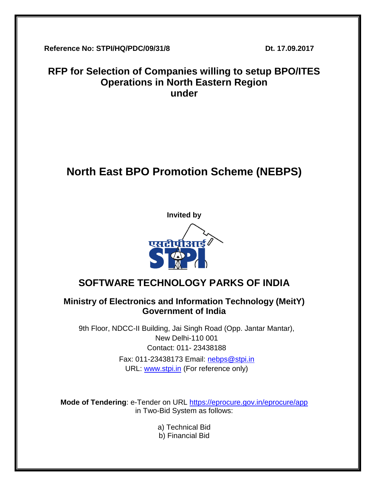**Reference No: STPI/HQ/PDC/09/31/8 Dt. 17.09.2017**

# **RFP for Selection of Companies willing to setup BPO/ITES Operations in North Eastern Region under**

# **North East BPO Promotion Scheme (NEBPS)**



# **SOFTWARE TECHNOLOGY PARKS OF INDIA**

# **Ministry of Electronics and Information Technology (MeitY) Government of India**

9th Floor, NDCC-II Building, Jai Singh Road (Opp. Jantar Mantar), New Delhi-110 001 Contact: 011- 23438188 Fax: 011-23438173 Email: [nebps@stpi.in](mailto:nebps@stpi.in) URL: [www.stpi.in](http://www.stpi.in/) (For reference only)

**Mode of Tendering**: e-Tender on URL <https://eprocure.gov.in/eprocure/app> in Two-Bid System as follows:

- a) Technical Bid
- b) Financial Bid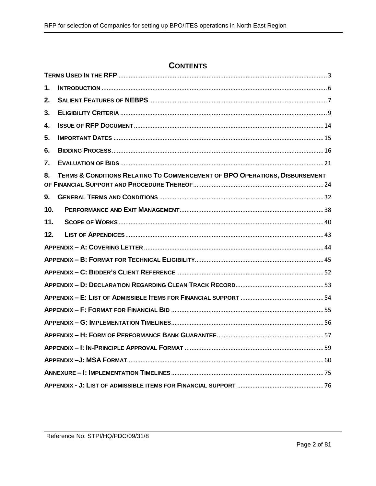# **CONTENTS**

| 1.  |                                                                             |  |  |  |
|-----|-----------------------------------------------------------------------------|--|--|--|
| 2.  |                                                                             |  |  |  |
| 3.  |                                                                             |  |  |  |
| 4.  |                                                                             |  |  |  |
| 5.  |                                                                             |  |  |  |
| 6.  |                                                                             |  |  |  |
| 7.  |                                                                             |  |  |  |
| 8.  | TERMS & CONDITIONS RELATING TO COMMENCEMENT OF BPO OPERATIONS, DISBURSEMENT |  |  |  |
| 9.  |                                                                             |  |  |  |
| 10. |                                                                             |  |  |  |
| 11. |                                                                             |  |  |  |
| 12. |                                                                             |  |  |  |
|     |                                                                             |  |  |  |
|     |                                                                             |  |  |  |
|     |                                                                             |  |  |  |
|     |                                                                             |  |  |  |
|     |                                                                             |  |  |  |
|     |                                                                             |  |  |  |
|     |                                                                             |  |  |  |
|     |                                                                             |  |  |  |
|     |                                                                             |  |  |  |
|     |                                                                             |  |  |  |
|     |                                                                             |  |  |  |
|     |                                                                             |  |  |  |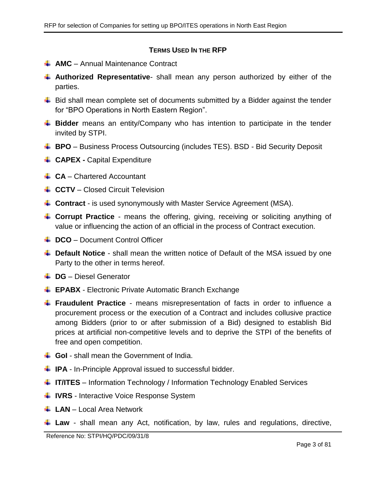#### **TERMS USED IN THE RFP**

- <span id="page-2-0"></span>**AMC** – Annual Maintenance Contract
- **Authorized Representative** shall mean any person authorized by either of the parties.
- $\ddot$  Bid shall mean complete set of documents submitted by a Bidder against the tender for "BPO Operations in North Eastern Region".
- **Bidder** means an entity/Company who has intention to participate in the tender invited by STPI.
- **BPO** Business Process Outsourcing (includes TES). BSD Bid Security Deposit
- **CAPEX Capital Expenditure**
- **CA** Chartered Accountant
- **↓ CCTV** Closed Circuit Television
- **Contract** is used synonymously with Master Service Agreement (MSA).
- **Corrupt Practice** means the offering, giving, receiving or soliciting anything of value or influencing the action of an official in the process of Contract execution.
- **↓ DCO** Document Control Officer
- **L** Default Notice shall mean the written notice of Default of the MSA issued by one Party to the other in terms hereof.
- **↓ DG** Diesel Generator
- **EPABX** Electronic Private Automatic Branch Exchange
- **Fraudulent Practice** means misrepresentation of facts in order to influence a procurement process or the execution of a Contract and includes collusive practice among Bidders (prior to or after submission of a Bid) designed to establish Bid prices at artificial non-competitive levels and to deprive the STPI of the benefits of free and open competition.
- **↓ GoI** shall mean the Government of India.
- **IPA** In-Principle Approval issued to successful bidder.
- **IF/ITES** Information Technology / Information Technology Enabled Services
- **IVRS** Interactive Voice Response System
- **LAN** Local Area Network
- **Law** shall mean any Act, notification, by law, rules and regulations, directive,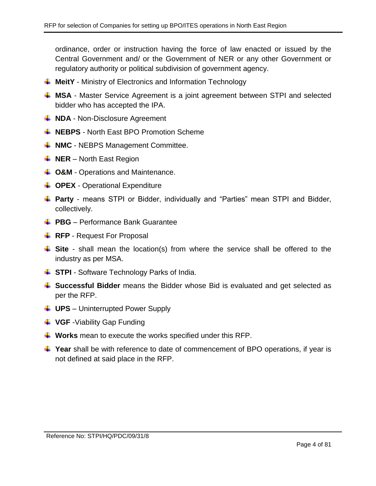ordinance, order or instruction having the force of law enacted or issued by the Central Government and/ or the Government of NER or any other Government or regulatory authority or political subdivision of government agency.

- **MeitY** Ministry of Electronics and Information Technology
- **MSA** Master Service Agreement is a joint agreement between STPI and selected bidder who has accepted the IPA.
- **NDA** Non-Disclosure Agreement
- **NEBPS** North East BPO Promotion Scheme
- $\downarrow$  **NMC** NEBPS Management Committee.
- **NER** North East Region
- $\downarrow$  **O&M** Operations and Maintenance.
- **↓ OPEX** Operational Expenditure
- **Party** means STPI or Bidder, individually and "Parties" mean STPI and Bidder, collectively.
- **↓ PBG** Performance Bank Guarantee
- **RFP** Request For Proposal
- **Site** shall mean the location(s) from where the service shall be offered to the industry as per MSA.
- **↓ STPI** Software Technology Parks of India.
- **Successful Bidder** means the Bidder whose Bid is evaluated and get selected as per the RFP.
- **UPS** Uninterrupted Power Supply
- **VGF** -Viability Gap Funding
- **Works** mean to execute the works specified under this RFP.
- **Figure 2** Year shall be with reference to date of commencement of BPO operations, if year is not defined at said place in the RFP.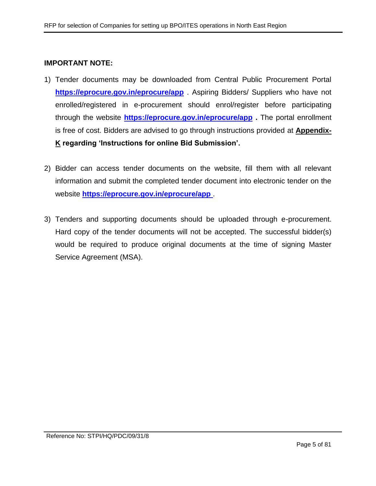#### **IMPORTANT NOTE:**

- 1) Tender documents may be downloaded from Central Public Procurement Portal **<https://eprocure.gov.in/eprocure/app>** . Aspiring Bidders/ Suppliers who have not enrolled/registered in e-procurement should enrol/register before participating through the website **<https://eprocure.gov.in/eprocure/app> .** The portal enrollment is free of cost. Bidders are advised to go through instructions provided at **[Appendix-](#page-76-0)[K](#page-76-0) regarding 'Instructions for online Bid Submission'.**
- 2) Bidder can access tender documents on the website, fill them with all relevant information and submit the completed tender document into electronic tender on the website **<https://eprocure.gov.in/eprocure/app>** .
- 3) Tenders and supporting documents should be uploaded through e-procurement. Hard copy of the tender documents will not be accepted. The successful bidder(s) would be required to produce original documents at the time of signing Master Service Agreement (MSA).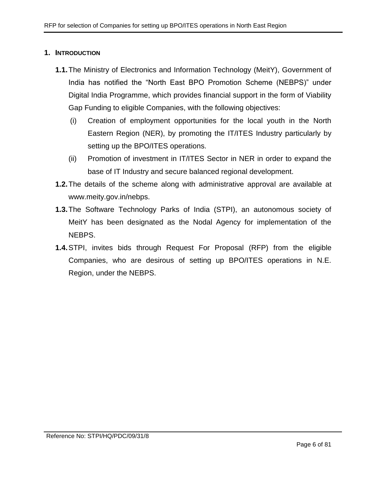#### <span id="page-5-0"></span>**1. INTRODUCTION**

- **1.1.**The Ministry of Electronics and Information Technology (MeitY), Government of India has notified the "North East BPO Promotion Scheme (NEBPS)" under Digital India Programme, which provides financial support in the form of Viability Gap Funding to eligible Companies, with the following objectives:
	- (i) Creation of employment opportunities for the local youth in the North Eastern Region (NER), by promoting the IT/ITES Industry particularly by setting up the BPO/ITES operations.
	- (ii) Promotion of investment in IT/ITES Sector in NER in order to expand the base of IT Industry and secure balanced regional development.
- **1.2.**The details of the scheme along with administrative approval are available at www.meity.gov.in/nebps.
- **1.3.**The Software Technology Parks of India (STPI), an autonomous society of MeitY has been designated as the Nodal Agency for implementation of the NEBPS.
- **1.4.**STPI, invites bids through Request For Proposal (RFP) from the eligible Companies, who are desirous of setting up BPO/ITES operations in N.E. Region, under the NEBPS.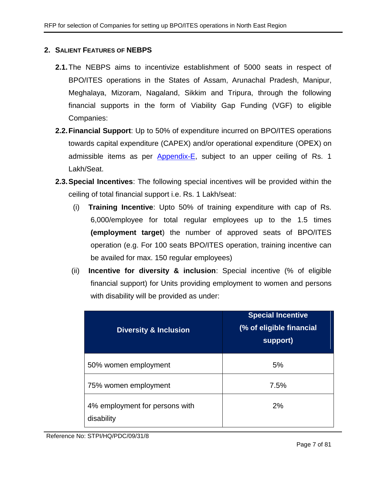#### <span id="page-6-0"></span>**2. SALIENT FEATURES OF NEBPS**

- **2.1.**The NEBPS aims to incentivize establishment of 5000 seats in respect of BPO/ITES operations in the States of Assam, Arunachal Pradesh, Manipur, Meghalaya, Mizoram, Nagaland, Sikkim and Tripura, through the following financial supports in the form of Viability Gap Funding (VGF) to eligible Companies:
- **2.2.Financial Support**: Up to 50% of expenditure incurred on BPO/ITES operations towards capital expenditure (CAPEX) and/or operational expenditure (ОРЕХ) on admissible items as per [Appendix-E,](#page-53-0) subject to an upper ceiling of Rs. 1 Lakh/Seat.
- <span id="page-6-1"></span>**2.3.Special Incentives**: The following special incentives will be provided within the ceiling of total financial support i.e. Rs. 1 Lakh/seat:
	- (i) **Training Incentive**: Upto 50% of training expenditure with cap of Rs. 6,000/employee for total regular employees up to the 1.5 times **(employment target**) the number of approved seats of BPO/ITES operation (e.g. For 100 seats BPO/ITES operation, training incentive can be availed for max. 150 regular employees)
	- (ii) **Incentive for diversity & inclusion**: Special incentive (% of eligible financial support) for Units providing employment to women and persons with disability will be provided as under:

| <b>Diversity &amp; Inclusion</b>             | <b>Special Incentive</b><br>(% of eligible financial<br>support) |
|----------------------------------------------|------------------------------------------------------------------|
| 50% women employment                         | 5%                                                               |
| 75% women employment                         | 7.5%                                                             |
| 4% employment for persons with<br>disability | 2%                                                               |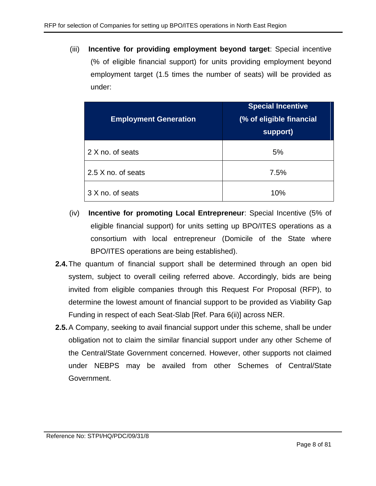(iii) **Incentive for providing employment beyond target**: Special incentive (% of eligible financial support) for units providing employment beyond employment target (1.5 times the number of seats) will be provided as under:

| <b>Employment Generation</b> | <b>Special Incentive</b><br>(% of eligible financial<br>support) |  |  |
|------------------------------|------------------------------------------------------------------|--|--|
| 2 X no. of seats             | 5%                                                               |  |  |
| 2.5 X no. of seats           | 7.5%                                                             |  |  |
| 3 X no. of seats             | 10%                                                              |  |  |

- (iv) **Incentive for promoting Local Entrepreneur**: Special Incentive (5% of eligible financial support) for units setting up BPO/ITES operations as a consortium with local entrepreneur (Domicile of the State where BPO/ITES operations are being established).
- **2.4.**The quantum of financial support shall be determined through an open bid system, subject to overall ceiling referred above. Accordingly, bids are being invited from eligible companies through this Request For Proposal (RFP), to determine the lowest amount of financial support to be provided as Viability Gap Funding in respect of each Seat-Slab [Ref. Para [6\(ii\)\]](#page-15-1) across NER.
- **2.5.**A Company, seeking to avail financial support under this scheme, shall be under obligation not to claim the similar financial support under any other Scheme of the Central/State Government concerned. However, other supports not claimed under NEBPS may be availed from other Schemes of Central/State Government.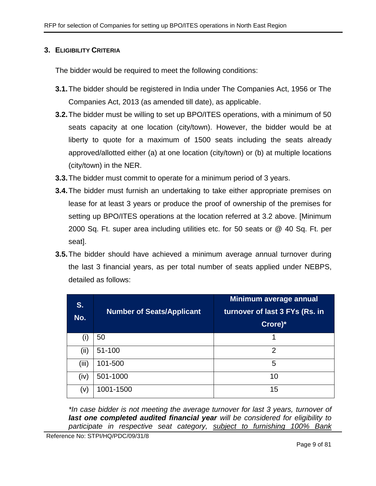# <span id="page-8-0"></span>**3. ELIGIBILITY CRITERIA**

The bidder would be required to meet the following conditions:

- **3.1.**The bidder should be registered in India under The Companies Act, 1956 or The Companies Act, 2013 (as amended till date), as applicable.
- **3.2.**The bidder must be willing to set up BPO/ITES operations, with a minimum of 50 seats capacity at one location (city/town). However, the bidder would be at liberty to quote for a maximum of 1500 seats including the seats already approved/allotted either (a) at one location (city/town) or (b) at multiple locations (city/town) in the NER.
- **3.3.**The bidder must commit to operate for a minimum period of 3 years.
- **3.4.**The bidder must furnish an undertaking to take either appropriate premises on lease for at least 3 years or produce the proof of ownership of the premises for setting up BPO/ITES operations at the location referred at 3.2 above. [Minimum 2000 Sq. Ft. super area including utilities etc. for 50 seats or @ 40 Sq. Ft. per seat].
- **3.5.**The bidder should have achieved a minimum average annual turnover during the last 3 financial years, as per total number of seats applied under NEBPS, detailed as follows:

| S.<br>No. | <b>Number of Seats/Applicant</b> | Minimum average annual<br>turnover of last 3 FYs (Rs. in<br>Crore)* |
|-----------|----------------------------------|---------------------------------------------------------------------|
| (i)       | 50                               |                                                                     |
| (iii)     | 51-100                           | 2                                                                   |
| (iii)     | 101-500                          | 5                                                                   |
| (iv)      | 501-1000                         | 10                                                                  |
| (V)       | 1001-1500                        | 15                                                                  |

*\*In case bidder is not meeting the average turnover for last 3 years, turnover of last one completed audited financial year will be considered for eligibility to participate in respective seat category, subject to furnishing 100% Bank*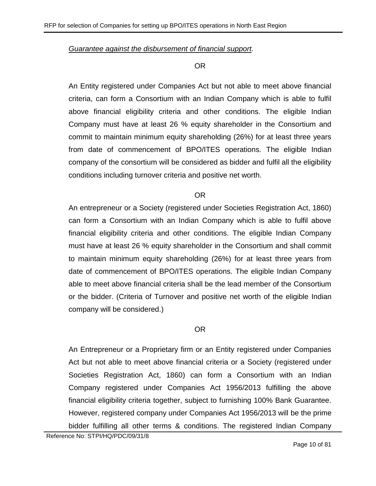*Guarantee against the disbursement of financial support.*

#### OR

An Entity registered under Companies Act but not able to meet above financial criteria, can form a Consortium with an Indian Company which is able to fulfil above financial eligibility criteria and other conditions. The eligible Indian Company must have at least 26 % equity shareholder in the Consortium and commit to maintain minimum equity shareholding (26%) for at least three years from date of commencement of BPO/ITES operations. The eligible Indian company of the consortium will be considered as bidder and fulfil all the eligibility conditions including turnover criteria and positive net worth.

#### OR

An entrepreneur or a Society (registered under Societies Registration Act, 1860) can form a Consortium with an Indian Company which is able to fulfil above financial eligibility criteria and other conditions. The eligible Indian Company must have at least 26 % equity shareholder in the Consortium and shall commit to maintain minimum equity shareholding (26%) for at least three years from date of commencement of BPO/ITES operations. The eligible Indian Company able to meet above financial criteria shall be the lead member of the Consortium or the bidder. (Criteria of Turnover and positive net worth of the eligible Indian company will be considered.)

# OR

An Entrepreneur or a Proprietary firm or an Entity registered under Companies Act but not able to meet above financial criteria or a Society (registered under Societies Registration Act, 1860) can form a Consortium with an Indian Company registered under Companies Act 1956/2013 fulfilling the above financial eligibility criteria together, subject to furnishing 100% Bank Guarantee. However, registered company under Companies Act 1956/2013 will be the prime bidder fulfilling all other terms & conditions. The registered Indian Company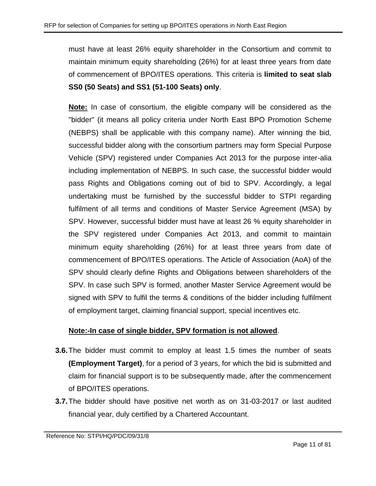must have at least 26% equity shareholder in the Consortium and commit to maintain minimum equity shareholding (26%) for at least three years from date of commencement of BPO/ITES operations. This criteria is **limited to seat slab SS0 (50 Seats) and SS1 (51-100 Seats) only**.

**Note:** In case of consortium, the eligible company will be considered as the "bidder" (it means all policy criteria under North East BPO Promotion Scheme (NEBPS) shall be applicable with this company name). After winning the bid, successful bidder along with the consortium partners may form Special Purpose Vehicle (SPV) registered under Companies Act 2013 for the purpose inter-alia including implementation of NEBPS. In such case, the successful bidder would pass Rights and Obligations coming out of bid to SPV. Accordingly, a legal undertaking must be furnished by the successful bidder to STPI regarding fulfilment of all terms and conditions of Master Service Agreement (MSA) by SPV. However, successful bidder must have at least 26 % equity shareholder in the SPV registered under Companies Act 2013, and commit to maintain minimum equity shareholding (26%) for at least three years from date of commencement of BPO/ITES operations. The Article of Association (AoA) of the SPV should clearly define Rights and Obligations between shareholders of the SPV. In case such SPV is formed, another Master Service Agreement would be signed with SPV to fulfil the terms & conditions of the bidder including fulfilment of employment target, claiming financial support, special incentives etc.

# **Note:-In case of single bidder, SPV formation is not allowed**.

- **3.6.**The bidder must commit to employ at least 1.5 times the number of seats **(Employment Target)**, for a period of 3 years, for which the bid is submitted and claim for financial support is to be subsequently made, after the commencement of BPO/ITES operations.
- **3.7.**The bidder should have positive net worth as on 31-03-2017 or last audited financial year, duly certified by a Chartered Accountant.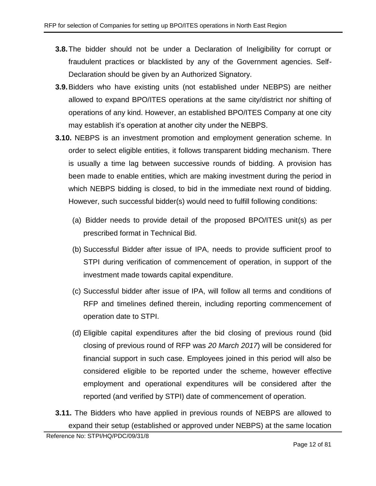- **3.8.**The bidder should not be under a Declaration of Ineligibility for corrupt or fraudulent practices or blacklisted by any of the Government agencies. Self-Declaration should be given by an Authorized Signatory.
- **3.9.**Bidders who have existing units (not established under NEBPS) are neither allowed to expand BPO/ITES operations at the same city/district nor shifting of operations of any kind. However, an established BPO/ITES Company at one city may establish it's operation at another city under the NEBPS.
- <span id="page-11-0"></span>**3.10.** NEBPS is an investment promotion and employment generation scheme. In order to select eligible entities, it follows transparent bidding mechanism. There is usually a time lag between successive rounds of bidding. A provision has been made to enable entities, which are making investment during the period in which NEBPS bidding is closed, to bid in the immediate next round of bidding. However, such successful bidder(s) would need to fulfill following conditions:
	- (a) Bidder needs to provide detail of the proposed BPO/ITES unit(s) as per prescribed format in Technical Bid.
	- (b) Successful Bidder after issue of IPA, needs to provide sufficient proof to STPI during verification of commencement of operation, in support of the investment made towards capital expenditure.
	- (c) Successful bidder after issue of IPA, will follow all terms and conditions of RFP and timelines defined therein, including reporting commencement of operation date to STPI.
	- (d) Eligible capital expenditures after the bid closing of previous round (bid closing of previous round of RFP was *20 March 2017*) will be considered for financial support in such case. Employees joined in this period will also be considered eligible to be reported under the scheme, however effective employment and operational expenditures will be considered after the reported (and verified by STPI) date of commencement of operation.
- **3.11.** The Bidders who have applied in previous rounds of NEBPS are allowed to expand their setup (established or approved under NEBPS) at the same location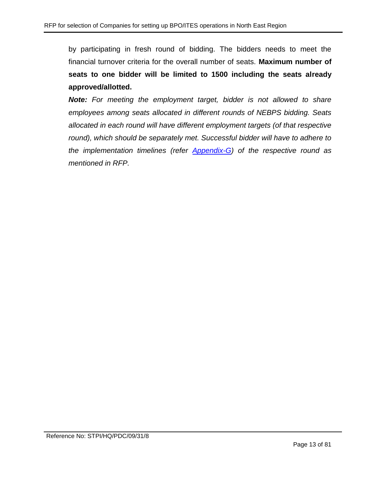by participating in fresh round of bidding. The bidders needs to meet the financial turnover criteria for the overall number of seats. **Maximum number of seats to one bidder will be limited to 1500 including the seats already approved/allotted.**

*Note: For meeting the employment target, bidder is not allowed to share employees among seats allocated in different rounds of NEBPS bidding. Seats allocated in each round will have different employment targets (of that respective*  round), which should be separately met. Successful bidder will have to adhere to *the implementation timelines (refer [Appendix-G\)](#page-55-0) of the respective round as mentioned in RFP.*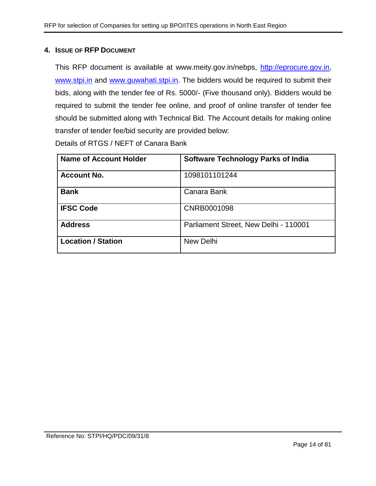#### <span id="page-13-0"></span>**4. ISSUE OF RFP DOCUMENT**

This RFP document is available at www.meity.gov.in/nebps, [http://eprocure.gov.in,](http://eprocure.gov.in/) [www.stpi.in](http://www.stpi.in/) and [www.guwahati.stpi.in.](http://www.guwahati.stpi.in/) The bidders would be required to submit their bids, along with the tender fee of Rs. 5000/- (Five thousand only). Bidders would be required to submit the tender fee online, and proof of online transfer of tender fee should be submitted along with Technical Bid. The Account details for making online transfer of tender fee/bid security are provided below:

Details of RTGS / NEFT of Canara Bank

| <b>Name of Account Holder</b> | <b>Software Technology Parks of India</b> |
|-------------------------------|-------------------------------------------|
| <b>Account No.</b>            | 1098101101244                             |
| <b>Bank</b>                   | Canara Bank                               |
| <b>IFSC Code</b>              | CNRB0001098                               |
| <b>Address</b>                | Parliament Street, New Delhi - 110001     |
| <b>Location / Station</b>     | New Delhi                                 |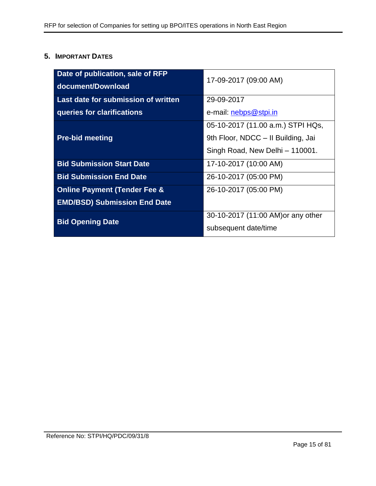# <span id="page-14-0"></span>**5. IMPORTANT DATES**

| Date of publication, sale of RFP        | 17-09-2017 (09:00 AM)              |  |
|-----------------------------------------|------------------------------------|--|
| document/Download                       |                                    |  |
| Last date for submission of written     | 29-09-2017                         |  |
| queries for clarifications              | e-mail: nebps@stpi.in              |  |
|                                         | 05-10-2017 (11.00 a.m.) STPI HQs,  |  |
| <b>Pre-bid meeting</b>                  | 9th Floor, NDCC - Il Building, Jai |  |
|                                         | Singh Road, New Delhi - 110001.    |  |
| <b>Bid Submission Start Date</b>        | 17-10-2017 (10:00 AM)              |  |
| <b>Bid Submission End Date</b>          | 26-10-2017 (05:00 PM)              |  |
| <b>Online Payment (Tender Fee &amp;</b> | 26-10-2017 (05:00 PM)              |  |
| <b>EMD/BSD) Submission End Date</b>     |                                    |  |
| <b>Bid Opening Date</b>                 | 30-10-2017 (11:00 AM) or any other |  |
|                                         | subsequent date/time               |  |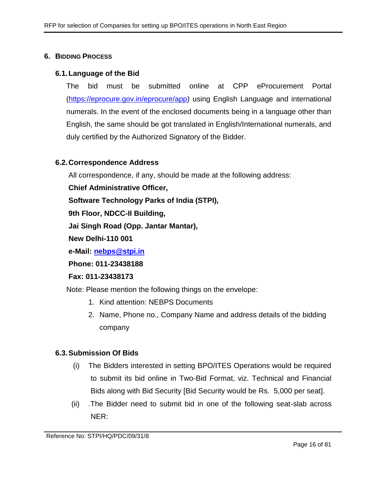#### <span id="page-15-0"></span>**6. BIDDING PROCESS**

#### **6.1.Language of the Bid**

The bid must be submitted online at CPP eProcurement Portal [\(https://eprocure.gov.in/eprocure/app\)](https://eprocure.gov.in/eprocure/app) using English Language and international numerals. In the event of the enclosed documents being in a language other than English, the same should be got translated in English/International numerals, and duly certified by the Authorized Signatory of the Bidder.

#### **6.2.Correspondence Address**

All correspondence, if any, should be made at the following address:

**Chief Administrative Officer,**

**Software Technology Parks of India (STPI),**

**9th Floor, NDCC-II Building,** 

**Jai Singh Road (Opp. Jantar Mantar),**

**New Delhi-110 001**

**e-Mail: [nebps@stpi.in](mailto:nebps@stpi.in)**

**Phone: 011-23438188**

**Fax: 011-23438173**

Note: Please mention the following things on the envelope:

- 1. Kind attention: NEBPS Documents
- 2. Name, Phone no., Company Name and address details of the bidding company

#### **6.3.Submission Of Bids**

- (i) The Bidders interested in setting BPO/ITES Operations would be required to submit its bid online in Two-Bid Format, viz. Technical and Financial Bids along with Bid Security [Bid Security would be Rs. 5,000 per seat].
- <span id="page-15-1"></span>(ii) .The Bidder need to submit bid in one of the following seat-slab across NER: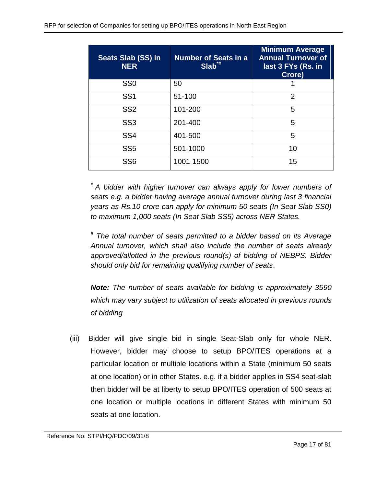| Seats Slab (SS) in<br><b>NER</b> | <b>Number of Seats in a</b><br>$Slab^{\ast\sharp}$ | <b>Minimum Average</b><br><b>Annual Turnover of</b><br>last 3 FYs (Rs. in<br>Crore) |
|----------------------------------|----------------------------------------------------|-------------------------------------------------------------------------------------|
| SS <sub>0</sub>                  | 50                                                 |                                                                                     |
| SS <sub>1</sub>                  | 51-100                                             | $\overline{2}$                                                                      |
| SS <sub>2</sub>                  | 101-200                                            | 5                                                                                   |
| SS <sub>3</sub>                  | 201-400                                            | 5                                                                                   |
| SS <sub>4</sub>                  | 401-500                                            | 5                                                                                   |
| SS <sub>5</sub>                  | 501-1000                                           | 10                                                                                  |
| SS <sub>6</sub>                  | 1001-1500                                          | 15                                                                                  |

*\* A bidder with higher turnover can always apply for lower numbers of seats e.g. a bidder having average annual turnover during last 3 financial years as Rs.10 crore can apply for minimum 50 seats (In Seat Slab SS0) to maximum 1,000 seats (In Seat Slab SS5) across NER States.*

*# The total number of seats permitted to a bidder based on its Average Annual turnover, which shall also include the number of seats already approved/allotted in the previous round(s) of bidding of NEBPS. Bidder should only bid for remaining qualifying number of seats*.

*Note: The number of seats available for bidding is approximately 3590 which may vary subject to utilization of seats allocated in previous rounds of bidding*

(iii) Bidder will give single bid in single Seat-Slab only for whole NER. However, bidder may choose to setup BPO/ITES operations at a particular location or multiple locations within a State (minimum 50 seats at one location) or in other States. e.g. if a bidder applies in SS4 seat-slab then bidder will be at liberty to setup BPO/ITES operation of 500 seats at one location or multiple locations in different States with minimum 50 seats at one location.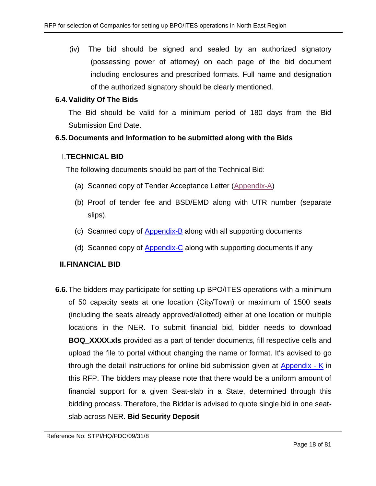(iv) The bid should be signed and sealed by an authorized signatory (possessing power of attorney) on each page of the bid document including enclosures and prescribed formats. Full name and designation of the authorized signatory should be clearly mentioned.

# **6.4.Validity Of The Bids**

The Bid should be valid for a minimum period of 180 days from the Bid Submission End Date.

# **6.5.Documents and Information to be submitted along with the Bids**

# I.**TECHNICAL BID**

The following documents should be part of the Technical Bid:

- (a) Scanned copy of Tender Acceptance Letter [\(Appendix-A\)](#page-43-0)
- (b) Proof of tender fee and BSD/EMD along with UTR number (separate slips).
- (c) Scanned copy of [Appendix-B](#page-44-0) along with all supporting documents
- (d) Scanned copy of [Appendix-C](#page-51-0) along with supporting documents if any

# **II.FINANCIAL BID**

**6.6.**The bidders may participate for setting up BPO/ITES operations with a minimum of 50 capacity seats at one location (City/Town) or maximum of 1500 seats (including the seats already approved/allotted) either at one location or multiple locations in the NER. To submit financial bid, bidder needs to download **BOQ\_XXXX.xls** provided as a part of tender documents, fill respective cells and upload the file to portal without changing the name or format. It's advised to go through the detail instructions for online bid submission given at [Appendix -](#page-76-0) K in this RFP. The bidders may please note that there would be a uniform amount of financial support for a given Seat-slab in a State, determined through this bidding process. Therefore, the Bidder is advised to quote single bid in one seatslab across NER. **Bid Security Deposit**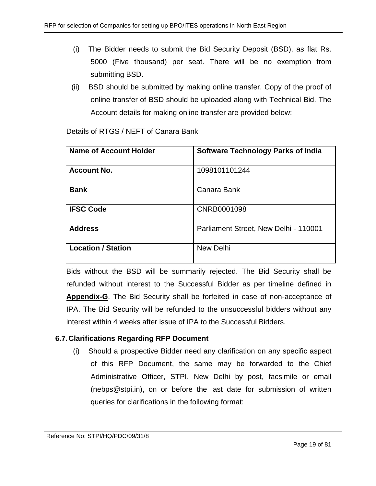- (i) The Bidder needs to submit the Bid Security Deposit (BSD), as flat Rs. 5000 (Five thousand) per seat. There will be no exemption from submitting BSD.
- (ii) BSD should be submitted by making online transfer. Copy of the proof of online transfer of BSD should be uploaded along with Technical Bid. The Account details for making online transfer are provided below:

| Name of Account Holder    | <b>Software Technology Parks of India</b> |
|---------------------------|-------------------------------------------|
| <b>Account No.</b>        | 1098101101244                             |
| <b>Bank</b>               | Canara Bank                               |
| <b>IFSC Code</b>          | CNRB0001098                               |
| <b>Address</b>            | Parliament Street, New Delhi - 110001     |
| <b>Location / Station</b> | <b>New Delhi</b>                          |

Details of RTGS / NEFT of Canara Bank

Bids without the BSD will be summarily rejected. The Bid Security shall be refunded without interest to the Successful Bidder as per timeline defined in **Appendix-G**. The Bid Security shall be forfeited in case of non-acceptance of IPA. The Bid Security will be refunded to the unsuccessful bidders without any interest within 4 weeks after issue of IPA to the Successful Bidders.

# **6.7.Clarifications Regarding RFP Document**

(i) Should a prospective Bidder need any clarification on any specific aspect of this RFP Document, the same may be forwarded to the Chief Administrative Officer, STPI, New Delhi by post, facsimile or email (nebps@stpi.in), on or before the last date for submission of written queries for clarifications in the following format: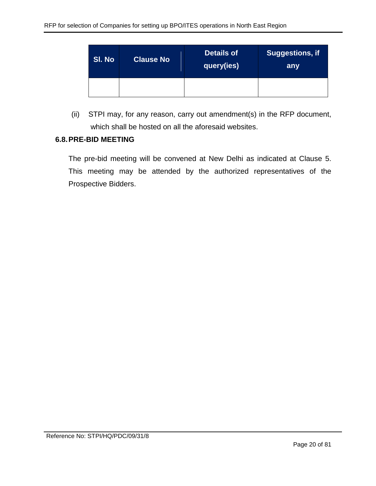| SI. No | <b>Clause No</b> | <b>Details of</b><br><b>query(ies)</b> | <b>Suggestions, if</b><br>any |
|--------|------------------|----------------------------------------|-------------------------------|
|        |                  |                                        |                               |

(ii) STPI may, for any reason, carry out amendment(s) in the RFP document, which shall be hosted on all the aforesaid websites.

#### **6.8.PRE-BID MEETING**

The pre-bid meeting will be convened at New Delhi as indicated at Clause 5. This meeting may be attended by the authorized representatives of the Prospective Bidders.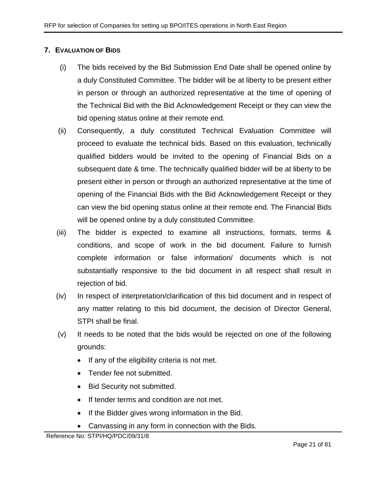# <span id="page-20-0"></span>**7. EVALUATION OF BIDS**

- (i) The bids received by the Bid Submission End Date shall be opened online by a duly Constituted Committee. The bidder will be at liberty to be present either in person or through an authorized representative at the time of opening of the Technical Bid with the Bid Acknowledgement Receipt or they can view the bid opening status online at their remote end.
- (ii) Consequently, a duly constituted Technical Evaluation Committee will proceed to evaluate the technical bids. Based on this evaluation, technically qualified bidders would be invited to the opening of Financial Bids on a subsequent date & time. The technically qualified bidder will be at liberty to be present either in person or through an authorized representative at the time of opening of the Financial Bids with the Bid Acknowledgement Receipt or they can view the bid opening status online at their remote end. The Financial Bids will be opened online by a duly constituted Committee.
- (iii) The bidder is expected to examine all instructions, formats, terms & conditions, and scope of work in the bid document. Failure to furnish complete information or false information/ documents which is not substantially responsive to the bid document in all respect shall result in rejection of bid.
- (iv) In respect of interpretation/clarification of this bid document and in respect of any matter relating to this bid document, the decision of Director General, STPI shall be final.
- (v) It needs to be noted that the bids would be rejected on one of the following grounds:
	- If any of the eligibility criteria is not met.
	- Tender fee not submitted.
	- Bid Security not submitted.
	- If tender terms and condition are not met.
	- If the Bidder gives wrong information in the Bid.
	- Canvassing in any form in connection with the Bids.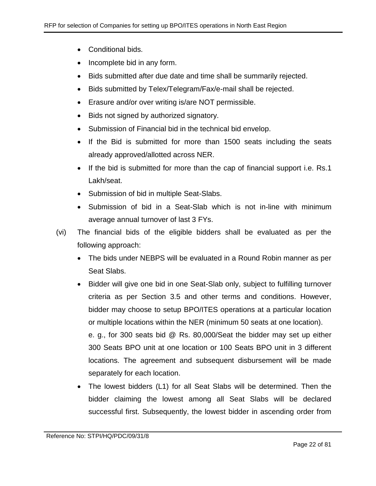- Conditional bids.
- Incomplete bid in any form.
- Bids submitted after due date and time shall be summarily rejected.
- Bids submitted by Telex/Telegram/Fax/e-mail shall be rejected.
- Erasure and/or over writing is/are NOT permissible.
- Bids not signed by authorized signatory.
- Submission of Financial bid in the technical bid envelop.
- If the Bid is submitted for more than 1500 seats including the seats already approved/allotted across NER.
- If the bid is submitted for more than the cap of financial support i.e. Rs.1 Lakh/seat.
- Submission of bid in multiple Seat-Slabs.
- Submission of bid in a Seat-Slab which is not in-line with minimum average annual turnover of last 3 FYs.
- (vi) The financial bids of the eligible bidders shall be evaluated as per the following approach:
	- The bids under NEBPS will be evaluated in a Round Robin manner as per Seat Slabs.
	- Bidder will give one bid in one Seat-Slab only, subject to fulfilling turnover criteria as per Section 3.5 and other terms and conditions. However, bidder may choose to setup BPO/ITES operations at a particular location or multiple locations within the NER (minimum 50 seats at one location). e. g., for 300 seats bid @ Rs. 80,000/Seat the bidder may set up either 300 Seats BPO unit at one location or 100 Seats BPO unit in 3 different locations. The agreement and subsequent disbursement will be made separately for each location.
	- The lowest bidders (L1) for all Seat Slabs will be determined. Then the bidder claiming the lowest among all Seat Slabs will be declared successful first. Subsequently, the lowest bidder in ascending order from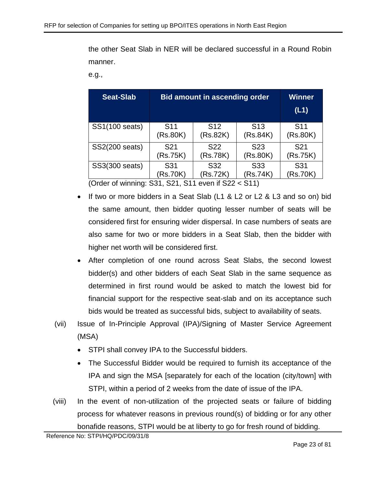the other Seat Slab in NER will be declared successful in a Round Robin manner.

e.g.,

| <b>Seat-Slab</b>         | <b>Bid amount in ascending order</b>                          | <b>Winner</b><br>(L1)       |                             |                             |
|--------------------------|---------------------------------------------------------------|-----------------------------|-----------------------------|-----------------------------|
| SS1(100 seats)           | S <sub>11</sub><br>(Rs.80K)                                   | S <sub>12</sub><br>(Rs.82K) | S <sub>13</sub><br>(Rs.84K) | S <sub>11</sub><br>(Rs.80K) |
| SS2(200 seats)           | S <sub>22</sub><br>S <sub>21</sub><br>(Rs.75K)<br>(Rs.78K)    |                             | S <sub>23</sub><br>(Rs.80K) | S <sub>21</sub><br>(Rs.75K) |
| SS3(300 seats)<br>$\sim$ | S <sub>31</sub><br>(Rs.70K)<br>$\sim$<br><b></b><br><b>AA</b> | S31<br>(Rs.70K)             |                             |                             |

(Order of winning: S31, S21, S11 even if S22 < S11)

- If two or more bidders in a Seat Slab (L1 & L2 or L2 & L3 and so on) bid the same amount, then bidder quoting lesser number of seats will be considered first for ensuring wider dispersal. In case numbers of seats are also same for two or more bidders in a Seat Slab, then the bidder with higher net worth will be considered first.
- After completion of one round across Seat Slabs, the second lowest bidder(s) and other bidders of each Seat Slab in the same sequence as determined in first round would be asked to match the lowest bid for financial support for the respective seat-slab and on its acceptance such bids would be treated as successful bids, subject to availability of seats.
- (vii) Issue of In-Principle Approval (IPA)/Signing of Master Service Agreement (MSA)
	- STPI shall convey IPA to the Successful bidders.
	- The Successful Bidder would be required to furnish its acceptance of the IPA and sign the MSA [separately for each of the location (city/town] with STPI, within a period of 2 weeks from the date of issue of the IPA.
- (viii) In the event of non-utilization of the projected seats or failure of bidding process for whatever reasons in previous round(s) of bidding or for any other bonafide reasons, STPI would be at liberty to go for fresh round of bidding.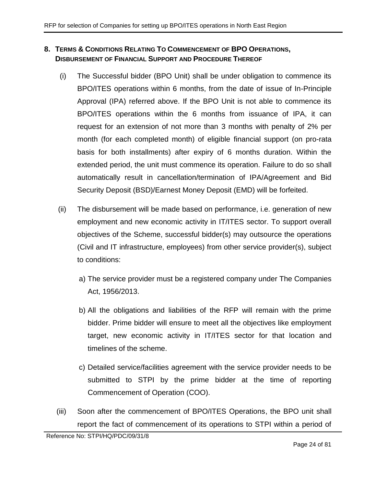# <span id="page-23-0"></span>**8. TERMS & CONDITIONS RELATING TO COMMENCEMENT OF BPO OPERATIONS, DISBURSEMENT OF FINANCIAL SUPPORT AND PROCEDURE THEREOF**

- <span id="page-23-2"></span>(i) The Successful bidder (BPO Unit) shall be under obligation to commence its BPO/ITES operations within 6 months, from the date of issue of In-Principle Approval (IPA) referred above. If the BPO Unit is not able to commence its BPO/ITES operations within the 6 months from issuance of IPA, it can request for an extension of not more than 3 months with penalty of 2% per month (for each completed month) of eligible financial support (on pro-rata basis for both installments) after expiry of 6 months duration. Within the extended period, the unit must commence its operation. Failure to do so shall automatically result in cancellation/termination of IPA/Agreement and Bid Security Deposit (BSD)/Earnest Money Deposit (EMD) will be forfeited.
- (ii) The disbursement will be made based on performance, i.e. generation of new employment and new economic activity in IT/ITES sector. To support overall objectives of the Scheme, successful bidder(s) may outsource the operations (Civil and IT infrastructure, employees) from other service provider(s), subject to conditions:
	- a) The service provider must be a registered company under The Companies Act, 1956/2013.
	- b) All the obligations and liabilities of the RFP will remain with the prime bidder. Prime bidder will ensure to meet all the objectives like employment target, new economic activity in IT/ITES sector for that location and timelines of the scheme.
	- c) Detailed service/facilities agreement with the service provider needs to be submitted to STPI by the prime bidder at the time of reporting Commencement of Operation (COO).
- <span id="page-23-1"></span>(iii) Soon after the commencement of BPO/ITES Operations, the BPO unit shall report the fact of commencement of its operations to STPI within a period of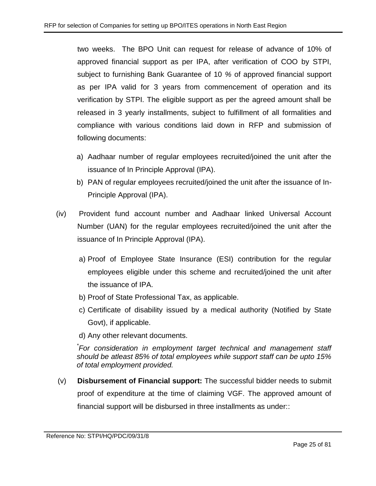two weeks. The BPO Unit can request for release of advance of 10% of approved financial support as per IPA, after verification of COO by STPI, subject to furnishing Bank Guarantee of 10 *%* of approved financial support as per IPA valid for 3 years from commencement of operation and its verification by STPI. The eligible support as per the agreed amount shall be released in 3 yearly installments, subject to fulfillment of all formalities and compliance with various conditions laid down in RFP and submission of following documents:

- a) Aadhaar number of regular employees recruited/joined the unit after the issuance of In Principle Approval (IPA).
- b) PAN of regular employees recruited/joined the unit after the issuance of In-Principle Approval (IPA).
- (iv) Provident fund account number and Aadhaar linked Universal Account Number (UAN) for the regular employees recruited/joined the unit after the issuance of In Principle Approval (IPA).
	- a) Proof of Employee State Insurance (ESI) contribution for the regular employees eligible under this scheme and recruited/joined the unit after the issuance of IPA.
	- b) Proof of State Professional Tax, as applicable.
	- c) Certificate of disability issued by a medical authority (Notified by State Govt), if applicable.

d) Any other relevant documents.

*\* For consideration in employment target technical and management staff should be atleast 85% of total employees while support staff can be upto 15% of total employment provided.*

(v) **Disbursement of Financial support:** The successful bidder needs to submit proof of expenditure at the time of claiming VGF. The approved amount of financial support will be disbursed in three installments as under::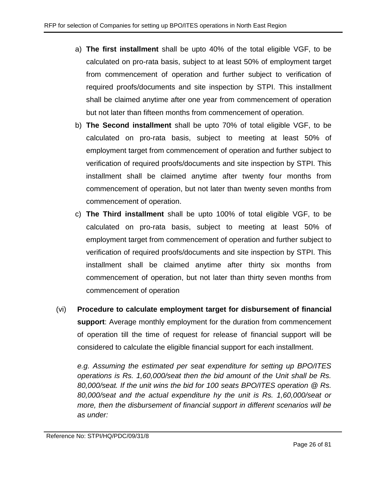- a) **The first installment** shall be upto 40% of the total eligible VGF, to be calculated on pro-rata basis, subject to at least 50% of employment target from commencement of operation and further subject to verification of required proofs/documents and site inspection by STPI. This installment shall be claimed anytime after one year from commencement of operation but not later than fifteen months from commencement of operation.
- b) **The Second installment** shall be upto 70% of total eligible VGF, to be calculated on pro-rata basis, subject to meeting at least 50% of employment target from commencement of operation and further subject to verification of required proofs/documents and site inspection by STPI. This installment shall be claimed anytime after twenty four months from commencement of operation, but not later than twenty seven months from commencement of operation.
- c) **The Third installment** shall be upto 100% of total eligible VGF, to be calculated on pro-rata basis, subject to meeting at least 50% of employment target from commencement of operation and further subject to verification of required proofs/documents and site inspection by STPI. This installment shall be claimed anytime after thirty six months from commencement of operation, but not later than thirty seven months from commencement of operation
- (vi) **Procedure to calculate employment target for disbursement of financial support**: Average monthly employment for the duration from commencement of operation till the time of request for release of financial support will be considered to calculate the eligible financial support for each installment.

*e.g. Assuming the estimated per seat expenditure for setting up BPO/ITES operations is Rs. 1,60,000/seat then the bid amount of the Unit shall be Rs. 80,000/seat. If the unit wins the bid for 100 seats BPO/ITES operation @ Rs. 80,000/seat and the actual expenditure hy the unit is Rs. 1,60,000/seat or more, then the disbursement of financial support in different scenarios will be as under:*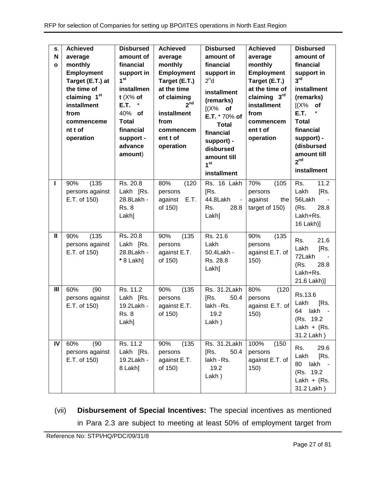| S.<br>N<br>$\mathbf{o}$ | <b>Achieved</b><br>average<br>monthly<br><b>Employment</b><br>Target (E.T.) at<br>the time of<br>claiming 1 <sup>st</sup><br>installment<br>from<br>commenceme<br>nt t of<br>operation | <b>Disbursed</b><br>amount of<br>financial<br>support in<br>1 <sup>st</sup><br>installmen<br>$t$ (X% of<br>E.T.<br>$\ast$<br>40% of<br><b>Total</b><br>financial<br>support -<br>advance<br>amount) | <b>Achieved</b><br>average<br>monthly<br><b>Employment</b><br>Target (E.T.)<br>at the time<br>of claiming<br>2 <sup>nd</sup><br>installment<br>from<br>commencem<br>ent t of<br>operation | <b>Disbursed</b><br>amount of<br>financial<br>support in<br>2 <sup>n</sup> d<br>installment<br>(remarks)<br>$[(X\%$ of<br>E.T. * 70% of<br><b>Total</b><br>financial<br>support) -<br>disbursed<br>amount till<br>1 <sup>st</sup><br>installment | <b>Achieved</b><br>average<br>monthly<br><b>Employment</b><br>Target (E.T.)<br>at the time of<br>claiming 3rd<br>installment<br>from<br>commencem<br>ent t of<br>operation | <b>Disbursed</b><br>amount of<br>financial<br>support in<br>3 <sup>rd</sup><br>installment<br>(remarks)<br>[(X%<br>of<br>E.T.<br><b>Total</b><br>financial<br>support) -<br>(disbursed<br>amount till<br>2 <sup>nd</sup><br><b>installment</b> |
|-------------------------|----------------------------------------------------------------------------------------------------------------------------------------------------------------------------------------|-----------------------------------------------------------------------------------------------------------------------------------------------------------------------------------------------------|-------------------------------------------------------------------------------------------------------------------------------------------------------------------------------------------|--------------------------------------------------------------------------------------------------------------------------------------------------------------------------------------------------------------------------------------------------|----------------------------------------------------------------------------------------------------------------------------------------------------------------------------|------------------------------------------------------------------------------------------------------------------------------------------------------------------------------------------------------------------------------------------------|
| ı                       | (135)<br>90%<br>persons against<br>E.T. of 150)                                                                                                                                        | Rs. 20.8<br>Lakh [Rs.<br>28.8Lakh -<br><b>Rs. 8</b><br>Lakh]                                                                                                                                        | 80%<br>(120)<br>persons<br>E.T.<br>against<br>of 150)                                                                                                                                     | Rs. 16 Lakh<br>[Rs.<br>44.8Lakh<br>$\blacksquare$<br>Rs.<br>28.8<br>Lakh]                                                                                                                                                                        | 70%<br>(105)<br>persons<br>against<br>the<br>target of 150)                                                                                                                | 11.2<br>Rs.<br>Lakh<br>[Rs.<br>56Lakh<br>(Rs.<br>28.8<br>Lakh+Rs.<br>16 Lakh)]                                                                                                                                                                 |
| $\mathbf{I}$            | (135)<br>90%<br>persons against<br>E.T. of 150)                                                                                                                                        | Rs. 20.8<br>Lakh [Rs.<br>28.8Lakh -<br>* 8 Lakh]                                                                                                                                                    | (135)<br>90%<br>persons<br>against E.T.<br>of 150)                                                                                                                                        | Rs. 21.6<br>Lakh<br>50.4Lakh -<br>Rs. 28.8<br>Lakh]                                                                                                                                                                                              | 90%<br>(135)<br>persons<br>against E.T. of<br>150)                                                                                                                         | Rs.<br>21.6<br>[Rs.<br>Lakh<br>72Lakh<br>(Rs.<br>28.8<br>Lakh+Rs.<br>21.6 Lakh)]                                                                                                                                                               |
| $\mathbf{III}$          | 60%<br>(90)<br>persons against<br>E.T. of 150)                                                                                                                                         | Rs. 11.2<br>Lakh [Rs.<br>19.2Lakh -<br><b>Rs. 8</b><br>Lakh]                                                                                                                                        | (135)<br>90%<br>persons<br>against E.T.<br>of 150)                                                                                                                                        | Rs. 31.2Lakh<br>50.4<br>[Rs.<br>lakh - Rs.<br>19.2<br>Lakh)                                                                                                                                                                                      | 80%<br>(120)<br>persons<br>against E.T. of<br>150)                                                                                                                         | Rs.13.6<br>Lakh<br>[Rs.<br>lakh<br>64<br>(Rs. 19.2)<br>Lakh + $(Rs.$<br>31.2 Lakh)                                                                                                                                                             |
| IV                      | 60%<br>(90)<br>persons against<br>E.T. of 150)                                                                                                                                         | Rs. 11.2<br>Lakh [Rs.<br>19.2Lakh -<br>8 Lakh]                                                                                                                                                      | (135)<br>90%<br>persons<br>against E.T.<br>of 150)                                                                                                                                        | Rs. 31.2Lakh<br>[Rs.<br>50.4<br>lakh - Rs.<br>19.2<br>Lakh)                                                                                                                                                                                      | 100%<br>(150)<br>persons<br>against E.T. of<br>150)                                                                                                                        | 29.6<br>Rs.<br>[Rs.<br>Lakh<br>80<br>lakh -<br>(Rs. 19.2)<br>Lakh + $(Rs.$<br>31.2 Lakh)                                                                                                                                                       |

(vii) **Disbursement of Special Incentives:** The special incentives as mentioned in Para [2.3](#page-6-1) are subject to meeting at least 50% of employment target from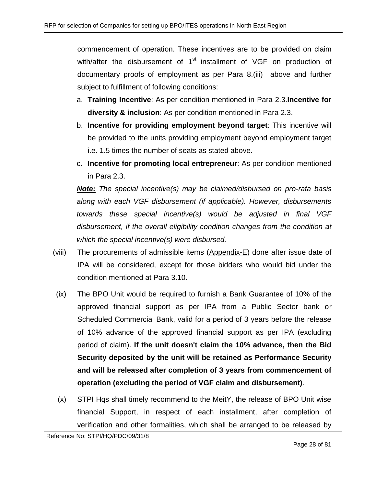commencement of operation. These incentives are to be provided on claim with/after the disbursement of 1<sup>st</sup> installment of VGF on production of documentary proofs of employment as per Para 8[.\(iii\)](#page-23-1) above and further subject to fulfillment of following conditions:

- a. **Training Incentive**: As per condition mentioned in Para [2.3.](#page-6-1)**Incentive for diversity & inclusion**: As per condition mentioned in Para [2.3.](#page-6-1)
- b. **Incentive for providing employment beyond target**: This incentive will be provided to the units providing employment beyond employment target i.e. 1.5 times the number of seats as stated above.
- c. **Incentive for promoting local entrepreneur**: As per condition mentioned in Para [2.3.](#page-6-1)

*Note: The special incentive(s) may be claimed/disbursed on pro-rata basis along with each VGF disbursement (if applicable). However, disbursements towards these special incentive(s) would be adjusted in final VGF disbursement, if the overall eligibility condition changes from the condition at which the special incentive(s) were disbursed.*

- (viii) The procurements of admissible items [\(Appendix-E\)](#page-53-0) done after issue date of IPA will be considered, except for those bidders who would bid under the condition mentioned at Para [3.10.](#page-11-0)
- (ix) The BPO Unit would be required to furnish a Bank Guarantee of 10% of the approved financial support as per IPA from a Public Sector bank or Scheduled Commercial Bank, valid for a period of 3 years before the release of 10% advance of the approved financial support as per IPA (excluding period of claim). **If the unit doesn't claim the 10% advance, then the Bid Security deposited by the unit will be retained as Performance Security and will be released after completion of 3 years from commencement of operation (excluding the period of VGF claim and disbursement)**.
- (x) STPI Hqs shall timely recommend to the MeitY, the release of BPO Unit wise financial Support, in respect of each installment, after completion of verification and other formalities, which shall be arranged to be released by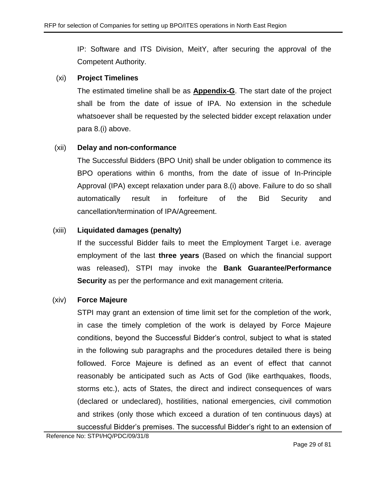IP: Software and ITS Division, MeitY, after securing the approval of the Competent Authority.

#### (xi) **Project Timelines**

The estimated timeline shall be as **[Appendix-G](#page-55-0)**. The start date of the project shall be from the date of issue of IPA. No extension in the schedule whatsoever shall be requested by the selected bidder except relaxation under para 8[.\(i\)](#page-23-2) above.

# (xii) **Delay and non-conformance**

The Successful Bidders (BPO Unit) shall be under obligation to commence its BPO operations within 6 months, from the date of issue of In-Principle Approval (IPA) except relaxation under para 8[.\(i\)](#page-23-2) above. Failure to do so shall automatically result in forfeiture of the Bid Security and cancellation/termination of IPA/Agreement.

# (xiii) **Liquidated damages (penalty)**

If the successful Bidder fails to meet the Employment Target i.e. average employment of the last **three years** (Based on which the financial support was released), STPI may invoke the **Bank Guarantee/Performance Security** as per the performance and exit management criteria.

# (xiv) **Force Majeure**

STPI may grant an extension of time limit set for the completion of the work, in case the timely completion of the work is delayed by Force Majeure conditions, beyond the Successful Bidder's control, subject to what is stated in the following sub paragraphs and the procedures detailed there is being followed. Force Majeure is defined as an event of effect that cannot reasonably be anticipated such as Acts of God (like earthquakes, floods, storms etc.), acts of States, the direct and indirect consequences of wars (declared or undeclared), hostilities, national emergencies, civil commotion and strikes (only those which exceed a duration of ten continuous days) at successful Bidder's premises. The successful Bidder's right to an extension of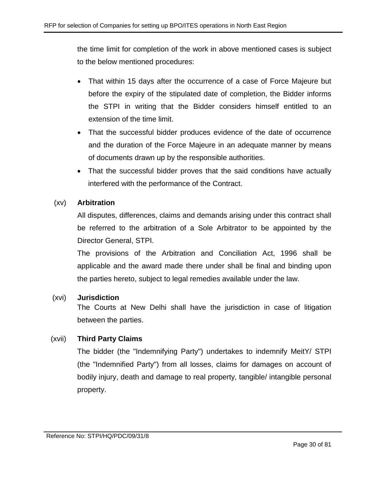the time limit for completion of the work in above mentioned cases is subject to the below mentioned procedures:

- That within 15 days after the occurrence of a case of Force Majeure but before the expiry of the stipulated date of completion, the Bidder informs the STPI in writing that the Bidder considers himself entitled to an extension of the time limit.
- That the successful bidder produces evidence of the date of occurrence and the duration of the Force Majeure in an adequate manner by means of documents drawn up by the responsible authorities.
- That the successful bidder proves that the said conditions have actually interfered with the performance of the Contract.

# (xv) **Arbitration**

All disputes, differences, claims and demands arising under this contract shall be referred to the arbitration of a Sole Arbitrator to be appointed by the Director General, STPI.

The provisions of the Arbitration and Conciliation Act, 1996 shall be applicable and the award made there under shall be final and binding upon the parties hereto, subject to legal remedies available under the law.

# (xvi) **Jurisdiction**

The Courts at New Delhi shall have the jurisdiction in case of litigation between the parties.

# (xvii) **Third Party Claims**

The bidder (the "Indemnifying Party") undertakes to indemnify MeitY/ STPI (the "Indemnified Party") from all losses, claims for damages on account of bodily injury, death and damage to real property, tangible/ intangible personal property.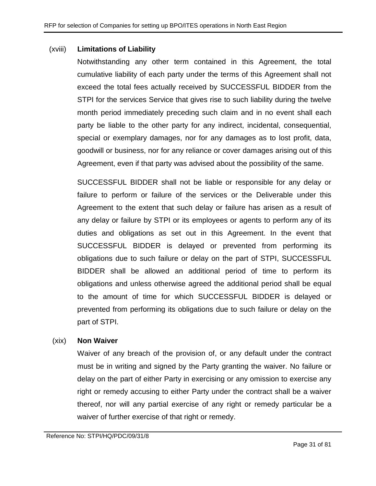#### (xviii) **Limitations of Liability**

Notwithstanding any other term contained in this Agreement, the total cumulative liability of each party under the terms of this Agreement shall not exceed the total fees actually received by SUCCESSFUL BIDDER from the STPI for the services Service that gives rise to such liability during the twelve month period immediately preceding such claim and in no event shall each party be liable to the other party for any indirect, incidental, consequential, special or exemplary damages, nor for any damages as to lost profit, data, goodwill or business, nor for any reliance or cover damages arising out of this Agreement, even if that party was advised about the possibility of the same.

SUCCESSFUL BIDDER shall not be liable or responsible for any delay or failure to perform or failure of the services or the Deliverable under this Agreement to the extent that such delay or failure has arisen as a result of any delay or failure by STPI or its employees or agents to perform any of its duties and obligations as set out in this Agreement. In the event that SUCCESSFUL BIDDER is delayed or prevented from performing its obligations due to such failure or delay on the part of STPI, SUCCESSFUL BIDDER shall be allowed an additional period of time to perform its obligations and unless otherwise agreed the additional period shall be equal to the amount of time for which SUCCESSFUL BIDDER is delayed or prevented from performing its obligations due to such failure or delay on the part of STPI.

# (xix) **Non Waiver**

Waiver of any breach of the provision of, or any default under the contract must be in writing and signed by the Party granting the waiver. No failure or delay on the part of either Party in exercising or any omission to exercise any right or remedy accusing to either Party under the contract shall be a waiver thereof, nor will any partial exercise of any right or remedy particular be a waiver of further exercise of that right or remedy.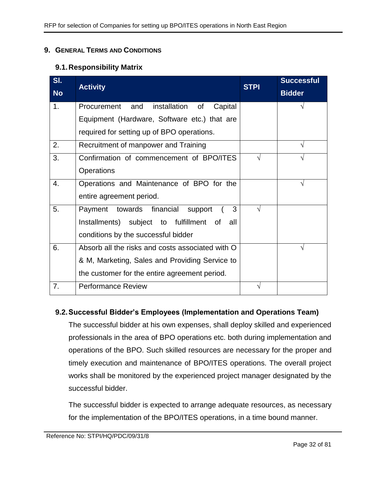#### <span id="page-31-0"></span>**9. GENERAL TERMS AND CONDITIONS**

#### **9.1.Responsibility Matrix**

| SI.            |                                                  | <b>STPI</b> | <b>Successful</b> |
|----------------|--------------------------------------------------|-------------|-------------------|
| <b>No</b>      | <b>Activity</b>                                  |             | <b>Bidder</b>     |
| 1 <sub>1</sub> | Procurement and<br>installation of<br>Capital    |             |                   |
|                | Equipment (Hardware, Software etc.) that are     |             |                   |
|                | required for setting up of BPO operations.       |             |                   |
| 2.             | Recruitment of manpower and Training             |             |                   |
| 3.             | Confirmation of commencement of BPO/ITES         |             |                   |
|                | Operations                                       |             |                   |
| 4.             | Operations and Maintenance of BPO for the        |             | V                 |
|                | entire agreement period.                         |             |                   |
| 5.             | 3<br>towards financial<br>Payment<br>support     | V           |                   |
|                | Installments) subject to fulfillment of<br>all   |             |                   |
|                | conditions by the successful bidder              |             |                   |
| 6.             | Absorb all the risks and costs associated with O |             |                   |
|                | & M, Marketing, Sales and Providing Service to   |             |                   |
|                | the customer for the entire agreement period.    |             |                   |
| 7.             | <b>Performance Review</b>                        | V           |                   |

# **9.2.Successful Bidder's Employees (Implementation and Operations Team)**

The successful bidder at his own expenses, shall deploy skilled and experienced professionals in the area of BPO operations etc. both during implementation and operations of the BPO. Such skilled resources are necessary for the proper and timely execution and maintenance of BPO/ITES operations. The overall project works shall be monitored by the experienced project manager designated by the successful bidder.

The successful bidder is expected to arrange adequate resources, as necessary for the implementation of the BPO/ITES operations, in a time bound manner.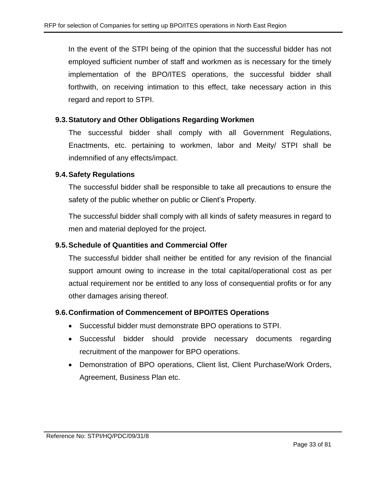In the event of the STPI being of the opinion that the successful bidder has not employed sufficient number of staff and workmen as is necessary for the timely implementation of the BPO/ITES operations, the successful bidder shall forthwith, on receiving intimation to this effect, take necessary action in this regard and report to STPI.

#### **9.3.Statutory and Other Obligations Regarding Workmen**

The successful bidder shall comply with all Government Regulations, Enactments, etc. pertaining to workmen, labor and Meity/ STPI shall be indemnified of any effects/impact.

#### **9.4.Safety Regulations**

The successful bidder shall be responsible to take all precautions to ensure the safety of the public whether on public or Client's Property.

The successful bidder shall comply with all kinds of safety measures in regard to men and material deployed for the project.

#### **9.5.Schedule of Quantities and Commercial Offer**

The successful bidder shall neither be entitled for any revision of the financial support amount owing to increase in the total capital/operational cost as per actual requirement nor be entitled to any loss of consequential profits or for any other damages arising thereof.

#### **9.6.Confirmation of Commencement of BPO/ITES Operations**

- Successful bidder must demonstrate BPO operations to STPI.
- Successful bidder should provide necessary documents regarding recruitment of the manpower for BPO operations.
- Demonstration of BPO operations, Client list, Client Purchase/Work Orders, Agreement, Business Plan etc.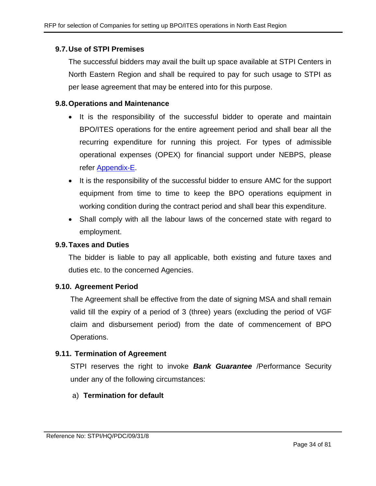#### **9.7.Use of STPI Premises**

The successful bidders may avail the built up space available at STPI Centers in North Eastern Region and shall be required to pay for such usage to STPI as per lease agreement that may be entered into for this purpose.

#### **9.8.Operations and Maintenance**

- It is the responsibility of the successful bidder to operate and maintain BPO/ITES operations for the entire agreement period and shall bear all the recurring expenditure for running this project. For types of admissible operational expenses (OPEX) for financial support under NEBPS, please refer [Appendix-E.](#page-53-0)
- It is the responsibility of the successful bidder to ensure AMC for the support equipment from time to time to keep the BPO operations equipment in working condition during the contract period and shall bear this expenditure.
- Shall comply with all the labour laws of the concerned state with regard to employment.

#### **9.9.Taxes and Duties**

The bidder is liable to pay all applicable, both existing and future taxes and duties etc. to the concerned Agencies.

#### **9.10. Agreement Period**

The Agreement shall be effective from the date of signing MSA and shall remain valid till the expiry of a period of 3 (three) years (excluding the period of VGF claim and disbursement period) from the date of commencement of BPO Operations.

# **9.11. Termination of Agreement**

STPI reserves the right to invoke *Bank Guarantee* /Performance Security under any of the following circumstances:

# a) **Termination for default**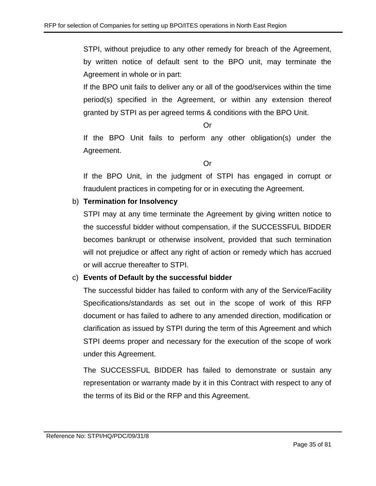STPI, without prejudice to any other remedy for breach of the Agreement, by written notice of default sent to the BPO unit, may terminate the Agreement in whole or in part:

If the BPO unit fails to deliver any or all of the good/services within the time period(s) specified in the Agreement, or within any extension thereof granted by STPI as per agreed terms & conditions with the BPO Unit.

Or

If the BPO Unit fails to perform any other obligation(s) under the Agreement.

Or

If the BPO Unit, in the judgment of STPI has engaged in corrupt or fraudulent practices in competing for or in executing the Agreement.

# b) **Termination for Insolvency**

STPI may at any time terminate the Agreement by giving written notice to the successful bidder without compensation, if the SUCCESSFUL BIDDER becomes bankrupt or otherwise insolvent, provided that such termination will not prejudice or affect any right of action or remedy which has accrued or will accrue thereafter to STPI.

# c) **Events of Default by the successful bidder**

The successful bidder has failed to conform with any of the Service/Facility Specifications/standards as set out in the scope of work of this RFP document or has failed to adhere to any amended direction, modification or clarification as issued by STPI during the term of this Agreement and which STPI deems proper and necessary for the execution of the scope of work under this Agreement.

The SUCCESSFUL BIDDER has failed to demonstrate or sustain any representation or warranty made by it in this Contract with respect to any of the terms of its Bid or the RFP and this Agreement.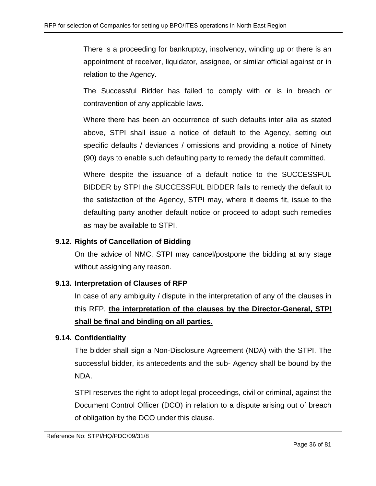There is a proceeding for bankruptcy, insolvency, winding up or there is an appointment of receiver, liquidator, assignee, or similar official against or in relation to the Agency.

The Successful Bidder has failed to comply with or is in breach or contravention of any applicable laws.

Where there has been an occurrence of such defaults inter alia as stated above, STPI shall issue a notice of default to the Agency, setting out specific defaults / deviances / omissions and providing a notice of Ninety (90) days to enable such defaulting party to remedy the default committed.

Where despite the issuance of a default notice to the SUCCESSFUL BIDDER by STPI the SUCCESSFUL BIDDER fails to remedy the default to the satisfaction of the Agency, STPI may, where it deems fit, issue to the defaulting party another default notice or proceed to adopt such remedies as may be available to STPI.

# **9.12. Rights of Cancellation of Bidding**

On the advice of NMC, STPI may cancel/postpone the bidding at any stage without assigning any reason.

# **9.13. Interpretation of Clauses of RFP**

In case of any ambiguity / dispute in the interpretation of any of the clauses in this RFP, **the interpretation of the clauses by the Director-General, STPI shall be final and binding on all parties.**

# **9.14. Confidentiality**

The bidder shall sign a Non-Disclosure Agreement (NDA) with the STPI. The successful bidder, its antecedents and the sub- Agency shall be bound by the NDA.

STPI reserves the right to adopt legal proceedings, civil or criminal, against the Document Control Officer (DCO) in relation to a dispute arising out of breach of obligation by the DCO under this clause.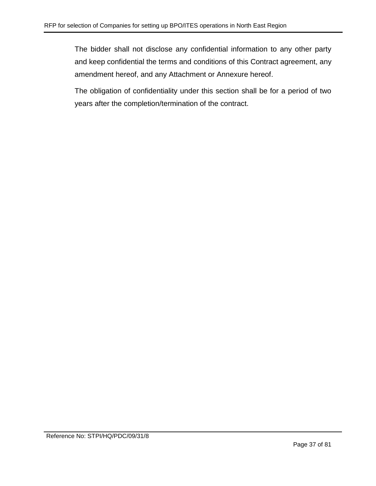The bidder shall not disclose any confidential information to any other party and keep confidential the terms and conditions of this Contract agreement, any amendment hereof, and any Attachment or Annexure hereof.

The obligation of confidentiality under this section shall be for a period of two years after the completion/termination of the contract.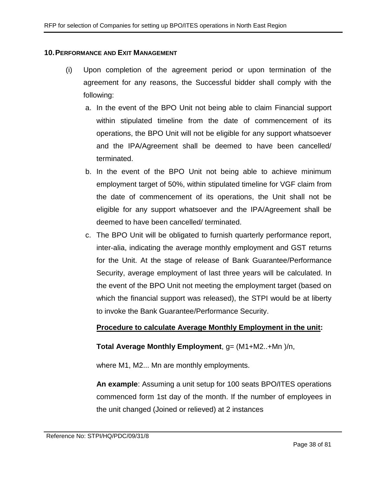#### **10.PERFORMANCE AND EXIT MANAGEMENT**

- (i) Upon completion of the agreement period or upon termination of the agreement for any reasons, the Successful bidder shall comply with the following:
	- a. In the event of the BPO Unit not being able to claim Financial support within stipulated timeline from the date of commencement of its operations, the BPO Unit will not be eligible for any support whatsoever and the IPA/Agreement shall be deemed to have been cancelled/ terminated.
	- b. In the event of the BPO Unit not being able to achieve minimum employment target of 50%, within stipulated timeline for VGF claim from the date of commencement of its operations, the Unit shall not be eligible for any support whatsoever and the IPA/Agreement shall be deemed to have been cancelled/ terminated.
	- c. The BPO Unit will be obligated to furnish quarterly performance report, inter-alia, indicating the average monthly employment and GST returns for the Unit. At the stage of release of Bank Guarantee/Performance Security, average employment of last three years will be calculated. In the event of the BPO Unit not meeting the employment target (based on which the financial support was released), the STPI would be at liberty to invoke the Bank Guarantee/Performance Security.

### **Procedure to calculate Average Monthly Employment in the unit:**

### **Total Average Monthly Employment**, g= (M1+M2..+Mn )/n,

where M1, M2... Mn are monthly employments.

**An example**: Assuming a unit setup for 100 seats BPO/ITES operations commenced form 1st day of the month. If the number of employees in the unit changed (Joined or relieved) at 2 instances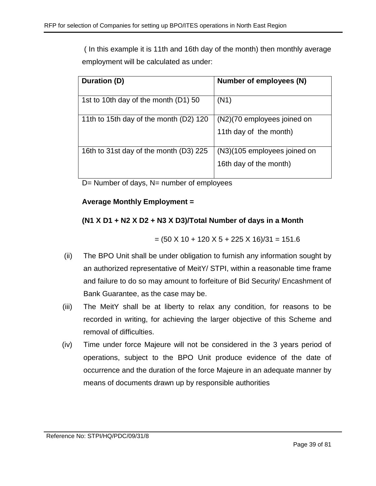( In this example it is 11th and 16th day of the month) then monthly average employment will be calculated as under:

| Duration (D)                           | Number of employees (N)      |
|----------------------------------------|------------------------------|
| 1st to 10th day of the month (D1) 50   | (N1)                         |
| 11th to 15th day of the month (D2) 120 | (N2)(70 employees joined on  |
|                                        | 11th day of the month)       |
| 16th to 31st day of the month (D3) 225 | (N3)(105 employees joined on |
|                                        | 16th day of the month)       |

D= Number of days, N= number of employees

# **Average Monthly Employment =**

# **(N1 X D1 + N2 X D2 + N3 X D3)/Total Number of days in a Month**

 $= (50 \times 10 + 120 \times 5 + 225 \times 16)/31 = 151.6$ 

- (ii) The BPO Unit shall be under obligation to furnish any information sought by an authorized representative of MeitY/ STPI, within a reasonable time frame and failure to do so may amount to forfeiture of Bid Security/ Encashment of Bank Guarantee, as the case may be.
- (iii) The MeitY shall be at liberty to relax any condition, for reasons to be recorded in writing, for achieving the larger objective of this Scheme and removal of difficulties.
- (iv) Time under force Majeure will not be considered in the 3 years period of operations, subject to the BPO Unit produce evidence of the date of occurrence and the duration of the force Majeure in an adequate manner by means of documents drawn up by responsible authorities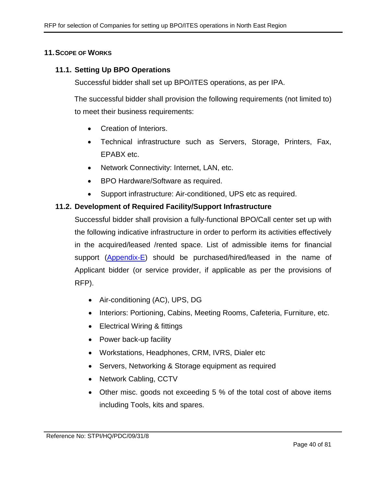### **11.SCOPE OF WORKS**

### **11.1. Setting Up BPO Operations**

Successful bidder shall set up BPO/ITES operations, as per IPA.

The successful bidder shall provision the following requirements (not limited to) to meet their business requirements:

- Creation of Interiors.
- Technical infrastructure such as Servers, Storage, Printers, Fax, EPABX etc.
- Network Connectivity: Internet, LAN, etc.
- BPO Hardware/Software as required.
- Support infrastructure: Air-conditioned, UPS etc as required.

### **11.2. Development of Required Facility/Support Infrastructure**

Successful bidder shall provision a fully-functional BPO/Call center set up with the following indicative infrastructure in order to perform its activities effectively in the acquired/leased /rented space. List of admissible items for financial support [\(Appendix-E\)](#page-53-0) should be purchased/hired/leased in the name of Applicant bidder (or service provider, if applicable as per the provisions of RFP).

- Air-conditioning (AC), UPS, DG
- Interiors: Portioning, Cabins, Meeting Rooms, Cafeteria, Furniture, etc.
- Electrical Wiring & fittings
- Power back-up facility
- Workstations, Headphones, CRM, IVRS, Dialer etc
- Servers, Networking & Storage equipment as required
- Network Cabling, CCTV
- Other misc. goods not exceeding 5 % of the total cost of above items including Tools, kits and spares.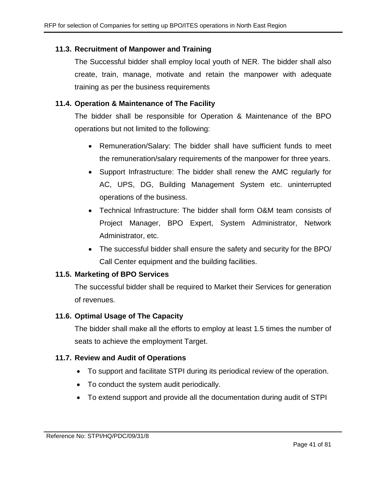## **11.3. Recruitment of Manpower and Training**

The Successful bidder shall employ local youth of NER. The bidder shall also create, train, manage, motivate and retain the manpower with adequate training as per the business requirements

## **11.4. Operation & Maintenance of The Facility**

The bidder shall be responsible for Operation & Maintenance of the BPO operations but not limited to the following:

- Remuneration/Salary: The bidder shall have sufficient funds to meet the remuneration/salary requirements of the manpower for three years.
- Support Infrastructure: The bidder shall renew the AMC regularly for AC, UPS, DG, Building Management System etc. uninterrupted operations of the business.
- Technical Infrastructure: The bidder shall form O&M team consists of Project Manager, BPO Expert, System Administrator, Network Administrator, etc.
- The successful bidder shall ensure the safety and security for the BPO/ Call Center equipment and the building facilities.

### **11.5. Marketing of BPO Services**

The successful bidder shall be required to Market their Services for generation of revenues.

### **11.6. Optimal Usage of The Capacity**

The bidder shall make all the efforts to employ at least 1.5 times the number of seats to achieve the employment Target.

### **11.7. Review and Audit of Operations**

- To support and facilitate STPI during its periodical review of the operation.
- To conduct the system audit periodically.
- To extend support and provide all the documentation during audit of STPI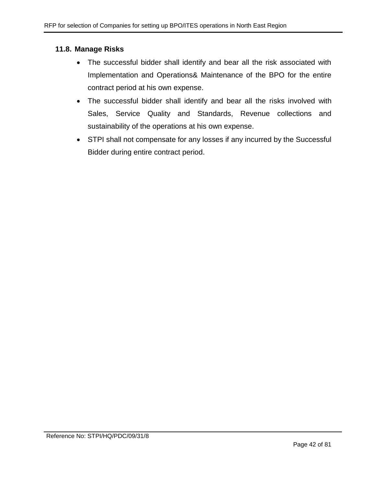### **11.8. Manage Risks**

- The successful bidder shall identify and bear all the risk associated with Implementation and Operations& Maintenance of the BPO for the entire contract period at his own expense.
- The successful bidder shall identify and bear all the risks involved with Sales, Service Quality and Standards, Revenue collections and sustainability of the operations at his own expense.
- STPI shall not compensate for any losses if any incurred by the Successful Bidder during entire contract period.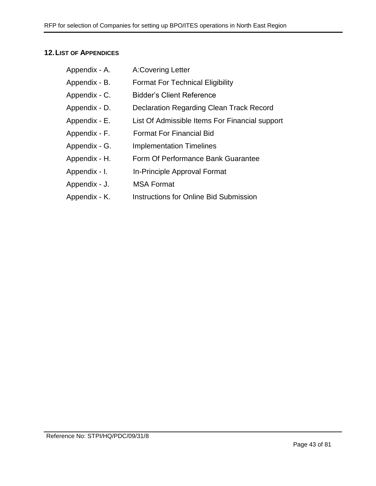## **12.LIST OF APPENDICES**

| Appendix - A. | <b>A:Covering Letter</b>                       |
|---------------|------------------------------------------------|
| Appendix - B. | <b>Format For Technical Eligibility</b>        |
| Appendix - C. | <b>Bidder's Client Reference</b>               |
| Appendix - D. | Declaration Regarding Clean Track Record       |
| Appendix - E. | List Of Admissible Items For Financial support |
| Appendix - F. | <b>Format For Financial Bid</b>                |
| Appendix - G. | <b>Implementation Timelines</b>                |
| Appendix - H. | Form Of Performance Bank Guarantee             |
| Appendix - I. | In-Principle Approval Format                   |
| Appendix - J. | <b>MSA Format</b>                              |
| Appendix - K. | <b>Instructions for Online Bid Submission</b>  |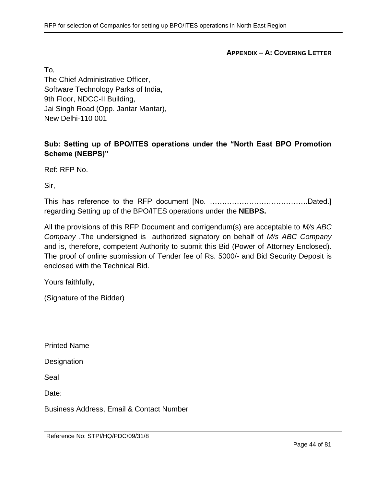**APPENDIX – A: COVERING LETTER**

To,

The Chief Administrative Officer, Software Technology Parks of India, 9th Floor, NDCC-II Building, Jai Singh Road (Opp. Jantar Mantar), New Delhi-110 001

# **Sub: Setting up of BPO/ITES operations under the "North East BPO Promotion Scheme (NEBPS)"**

Ref: RFP No.

Sir,

This has reference to the RFP document [No. ………………………………….Dated.] regarding Setting up of the BPO/ITES operations under the **NEBPS.**

All the provisions of this RFP Document and corrigendum(s) are acceptable to *M/s ABC Company* .The undersigned is authorized signatory on behalf of *M/s ABC Company* and is, therefore, competent Authority to submit this Bid (Power of Attorney Enclosed). The proof of online submission of Tender fee of Rs. 5000/- and Bid Security Deposit is enclosed with the Technical Bid.

Yours faithfully,

(Signature of the Bidder)

Printed Name

**Designation** 

Seal

Date:

Business Address, Email & Contact Number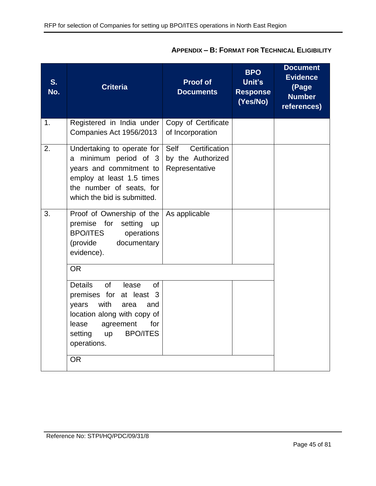| S.<br>No. | <b>Criteria</b>                                                                                                                                                                                                                                       | <b>Proof of</b><br><b>Documents</b>                          | <b>BPO</b><br>Unit's<br><b>Response</b><br>(Yes/No) | <b>Document</b><br><b>Evidence</b><br>(Page<br><b>Number</b><br>references) |
|-----------|-------------------------------------------------------------------------------------------------------------------------------------------------------------------------------------------------------------------------------------------------------|--------------------------------------------------------------|-----------------------------------------------------|-----------------------------------------------------------------------------|
| 1.        | Registered in India under<br>Companies Act 1956/2013                                                                                                                                                                                                  | Copy of Certificate<br>of Incorporation                      |                                                     |                                                                             |
| 2.        | Undertaking to operate for<br>a minimum period of 3<br>years and commitment to<br>employ at least 1.5 times<br>the number of seats, for<br>which the bid is submitted.                                                                                | Certification<br>Self<br>by the Authorized<br>Representative |                                                     |                                                                             |
| 3.        | Proof of Ownership of the<br>premise for setting up<br><b>BPO/ITES</b><br>operations<br>(provide<br>documentary<br>evidence).<br><b>OR</b>                                                                                                            | As applicable                                                |                                                     |                                                                             |
|           | <b>Details</b><br>of<br>lease<br><b>of</b><br>premises for at least 3<br>with<br>years<br>area<br>and<br>location along with copy of<br>agreement<br>lease<br>for<br><b>BPO/ITES</b><br>setting<br>$\mathsf{u}\mathsf{p}$<br>operations.<br><b>OR</b> |                                                              |                                                     |                                                                             |

# **APPENDIX – B: FORMAT FOR TECHNICAL ELIGIBILITY**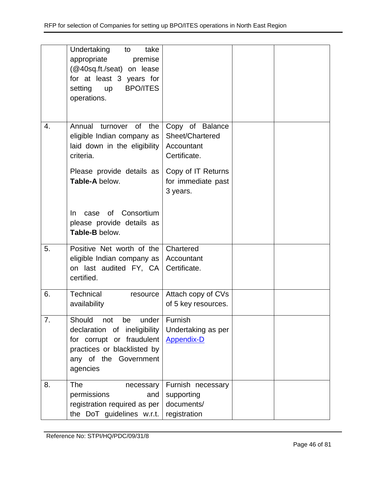|    | Undertaking<br>take<br>to<br>appropriate<br>premise<br>(@40sq.ft./seat) on lease<br>for at least 3 years for<br><b>BPO/ITES</b><br>setting<br><b>up</b><br>operations. |                                                                                                                          |  |
|----|------------------------------------------------------------------------------------------------------------------------------------------------------------------------|--------------------------------------------------------------------------------------------------------------------------|--|
| 4. | Annual turnover of the<br>eligible Indian company as<br>laid down in the eligibility<br>criteria.<br>Please provide details as<br>Table-A below.                       | Copy of Balance<br>Sheet/Chartered<br>Accountant<br>Certificate.<br>Copy of IT Returns<br>for immediate past<br>3 years. |  |
|    | of Consortium<br>In.<br>case<br>please provide details as<br>Table-B below.                                                                                            |                                                                                                                          |  |
| 5. | Positive Net worth of the<br>eligible Indian company as<br>on last audited FY, CA<br>certified.                                                                        | Chartered<br>Accountant<br>Certificate.                                                                                  |  |
| 6. | Technical<br>resource<br>availability                                                                                                                                  | Attach copy of CVs<br>of 5 key resources.                                                                                |  |
| 7. | Should<br>not<br>be<br>under<br>declaration of ineligibility<br>for corrupt or fraudulent<br>practices or blacklisted by<br>any of the Government<br>agencies          | Furnish<br>Undertaking as per<br><b>Appendix-D</b>                                                                       |  |
| 8. | <b>The</b><br>necessary<br>permissions<br>and<br>registration required as per<br>the DoT guidelines w.r.t.                                                             | Furnish necessary<br>supporting<br>documents/<br>registration                                                            |  |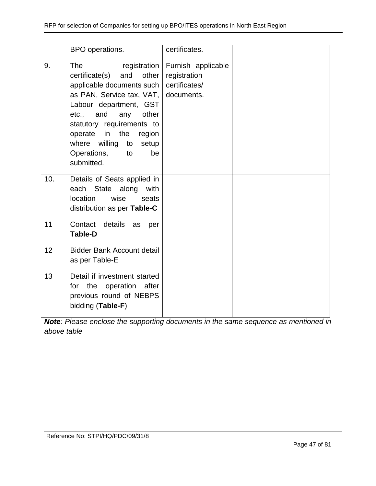|     | BPO operations.                                                                                                                                                                                                                                                                                       | certificates.                                     |  |
|-----|-------------------------------------------------------------------------------------------------------------------------------------------------------------------------------------------------------------------------------------------------------------------------------------------------------|---------------------------------------------------|--|
| 9.  | <b>The</b><br>certificate(s) and other<br>applicable documents such   certificates/<br>as PAN, Service tax, VAT, documents.<br>Labour department, GST<br>etc., and any<br>other<br>statutory requirements to<br>operate in the region<br>where willing to setup<br>Operations, to<br>be<br>submitted. | registration   Furnish applicable<br>registration |  |
| 10. | Details of Seats applied in<br>each State along with<br>location<br>wise<br>seats<br>distribution as per Table-C                                                                                                                                                                                      |                                                   |  |
| 11  | Contact details<br>as<br>per<br><b>Table-D</b>                                                                                                                                                                                                                                                        |                                                   |  |
| 12  | <b>Bidder Bank Account detail</b><br>as per Table-E                                                                                                                                                                                                                                                   |                                                   |  |
| 13  | Detail if investment started<br>for the operation after<br>previous round of NEBPS<br>bidding (Table-F)                                                                                                                                                                                               |                                                   |  |

*Note: Please enclose the supporting documents in the same sequence as mentioned in above table*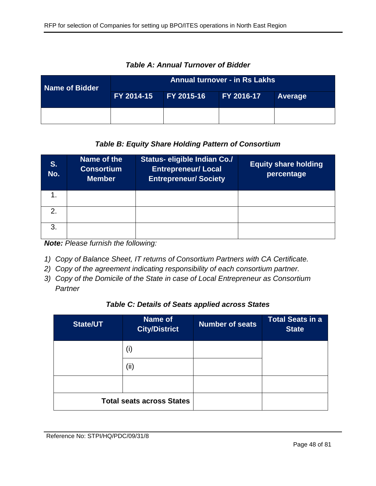| Name of Bidder | <b>Annual turnover - in Rs Lakhs</b> |                   |            |                |  |
|----------------|--------------------------------------|-------------------|------------|----------------|--|
|                | FY 2014-15                           | <b>FY 2015-16</b> | FY 2016-17 | <b>Average</b> |  |
|                |                                      |                   |            |                |  |

*Table A: Annual Turnover of Bidder*

# *Table B: Equity Share Holding Pattern of Consortium*

| S.<br>No.     | Name of the<br><b>Consortium</b><br><b>Member</b> | <b>Status- eligible Indian Co./</b><br><b>Entrepreneur/ Local</b><br><b>Entrepreneur/ Society</b> | <b>Equity share holding</b><br>percentage |
|---------------|---------------------------------------------------|---------------------------------------------------------------------------------------------------|-------------------------------------------|
|               |                                                   |                                                                                                   |                                           |
| $\mathcal{P}$ |                                                   |                                                                                                   |                                           |
| 3             |                                                   |                                                                                                   |                                           |

*Note: Please furnish the following:*

- *1) Copy of Balance Sheet, IT returns of Consortium Partners with CA Certificate.*
- *2) Copy of the agreement indicating responsibility of each consortium partner.*
- *3) Copy of the Domicile of the State in case of Local Entrepreneur as Consortium Partner*

### *Table C: Details of Seats applied across States*

| <b>State/UT</b>                  | Name of<br><b>City/District</b> | <b>Number of seats</b> | <b>Total Seats in a</b><br><b>State</b> |
|----------------------------------|---------------------------------|------------------------|-----------------------------------------|
|                                  | (i)                             |                        |                                         |
|                                  | (ii)                            |                        |                                         |
|                                  |                                 |                        |                                         |
| <b>Total seats across States</b> |                                 |                        |                                         |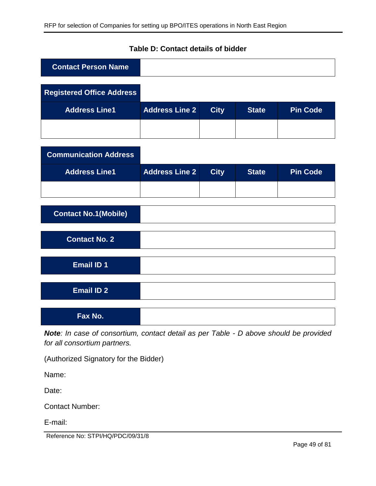| <b>Contact Person Name</b>       |                       |             |              |                 |
|----------------------------------|-----------------------|-------------|--------------|-----------------|
| <b>Registered Office Address</b> |                       |             |              |                 |
| <b>Address Line1</b>             | <b>Address Line 2</b> | <b>City</b> | <b>State</b> | <b>Pin Code</b> |
|                                  |                       |             |              |                 |
| <b>Communication Address</b>     |                       |             |              |                 |
| <b>Address Line1</b>             | <b>Address Line 2</b> | <b>City</b> | <b>State</b> | <b>Pin Code</b> |
|                                  |                       |             |              |                 |
| <b>Contact No.1(Mobile)</b>      |                       |             |              |                 |
| <b>Contact No. 2</b>             |                       |             |              |                 |
| <b>Email ID 1</b>                |                       |             |              |                 |
| <b>Email ID 2</b>                |                       |             |              |                 |
| Fax No.                          |                       |             |              |                 |

# **Table D: Contact details of bidder**

*Note: In case of consortium, contact detail as per Table - D above should be provided for all consortium partners.*

(Authorized Signatory for the Bidder)

Name:

Date:

Contact Number:

E-mail:

Reference No: STPI/HQ/PDC/09/31/8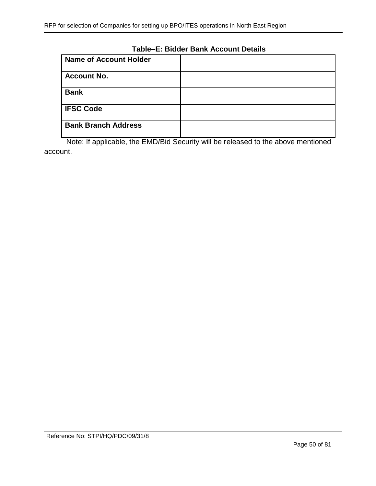# **Table–E: Bidder Bank Account Details**

| <b>Name of Account Holder</b> |  |
|-------------------------------|--|
| <b>Account No.</b>            |  |
| <b>Bank</b>                   |  |
| <b>IFSC Code</b>              |  |
| <b>Bank Branch Address</b>    |  |

Note: If applicable, the EMD/Bid Security will be released to the above mentioned account.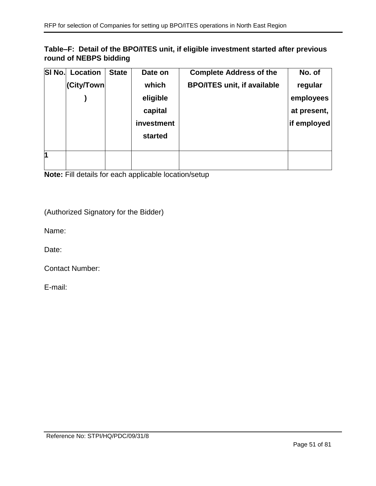## **Table–F: Detail of the BPO/ITES unit, if eligible investment started after previous round of NEBPS bidding**

| SI No. | Location   | <b>State</b> | Date on    | <b>Complete Address of the</b>     | No. of      |
|--------|------------|--------------|------------|------------------------------------|-------------|
|        | (City/Town |              | which      | <b>BPO/ITES unit, if available</b> | regular     |
|        |            |              | eligible   |                                    | employees   |
|        |            |              | capital    |                                    | at present, |
|        |            |              | investment |                                    | if employed |
|        |            |              | started    |                                    |             |
|        |            |              |            |                                    |             |
| 1      |            |              |            |                                    |             |
|        |            |              |            |                                    |             |

**Note:** Fill details for each applicable location/setup

(Authorized Signatory for the Bidder)

Name:

Date:

Contact Number:

E-mail: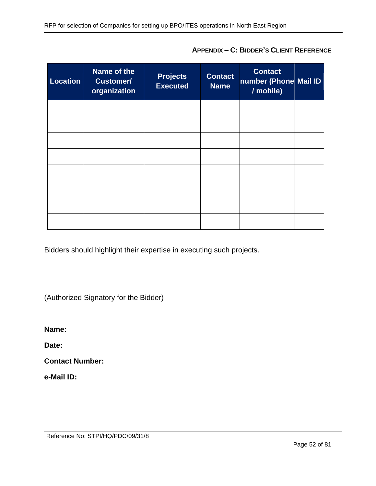| <b>Location</b> | Name of the<br><b>Customer/</b><br>organization | <b>Projects</b><br><b>Executed</b> | <b>Contact</b><br><b>Name</b> | <b>Contact</b><br>number (Phone Mail ID<br>/ mobile) |  |
|-----------------|-------------------------------------------------|------------------------------------|-------------------------------|------------------------------------------------------|--|
|                 |                                                 |                                    |                               |                                                      |  |
|                 |                                                 |                                    |                               |                                                      |  |
|                 |                                                 |                                    |                               |                                                      |  |
|                 |                                                 |                                    |                               |                                                      |  |
|                 |                                                 |                                    |                               |                                                      |  |
|                 |                                                 |                                    |                               |                                                      |  |
|                 |                                                 |                                    |                               |                                                      |  |
|                 |                                                 |                                    |                               |                                                      |  |

**APPENDIX – C: BIDDER'S CLIENT REFERENCE**

Bidders should highlight their expertise in executing such projects.

(Authorized Signatory for the Bidder)

**Name:** 

**Date:** 

**Contact Number:** 

**e-Mail ID:**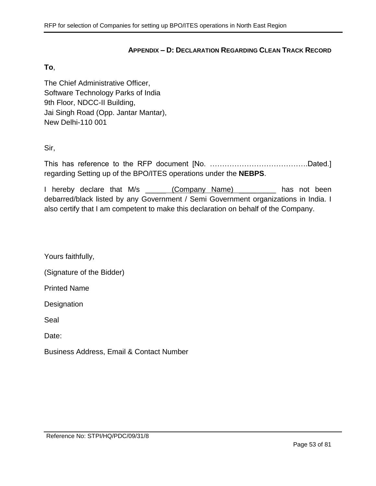#### **APPENDIX – D: DECLARATION REGARDING CLEAN TRACK RECORD**

#### <span id="page-52-0"></span>**To**,

The Chief Administrative Officer, Software Technology Parks of India 9th Floor, NDCC-II Building, Jai Singh Road (Opp. Jantar Mantar), New Delhi-110 001

Sir,

This has reference to the RFP document [No. ………………………………….Dated.] regarding Setting up of the BPO/ITES operations under the **NEBPS**.

I hereby declare that M/s (Company Name) and has not been debarred/black listed by any Government / Semi Government organizations in India. I also certify that I am competent to make this declaration on behalf of the Company.

Yours faithfully,

(Signature of the Bidder)

Printed Name

**Designation** 

Seal

Date:

Business Address, Email & Contact Number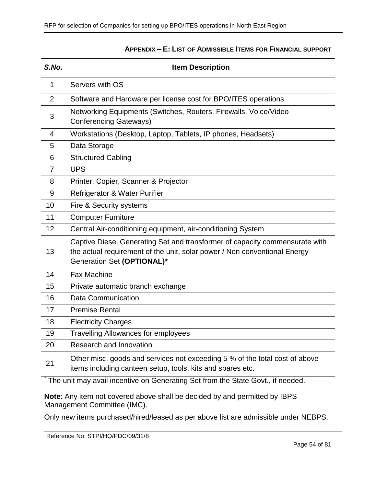<span id="page-53-0"></span>

| S.No.          | <b>Item Description</b>                                                                                                                                                                |  |  |
|----------------|----------------------------------------------------------------------------------------------------------------------------------------------------------------------------------------|--|--|
| 1              | Servers with OS                                                                                                                                                                        |  |  |
| 2              | Software and Hardware per license cost for BPO/ITES operations                                                                                                                         |  |  |
| 3              | Networking Equipments (Switches, Routers, Firewalls, Voice/Video<br><b>Conferencing Gateways)</b>                                                                                      |  |  |
| $\overline{4}$ | Workstations (Desktop, Laptop, Tablets, IP phones, Headsets)                                                                                                                           |  |  |
| 5              | Data Storage                                                                                                                                                                           |  |  |
| 6              | <b>Structured Cabling</b>                                                                                                                                                              |  |  |
| $\overline{7}$ | <b>UPS</b>                                                                                                                                                                             |  |  |
| 8              | Printer, Copier, Scanner & Projector                                                                                                                                                   |  |  |
| 9              | Refrigerator & Water Purifier                                                                                                                                                          |  |  |
| 10             | Fire & Security systems                                                                                                                                                                |  |  |
| 11             | <b>Computer Furniture</b>                                                                                                                                                              |  |  |
| 12             | Central Air-conditioning equipment, air-conditioning System                                                                                                                            |  |  |
| 13             | Captive Diesel Generating Set and transformer of capacity commensurate with<br>the actual requirement of the unit, solar power / Non conventional Energy<br>Generation Set (OPTIONAL)* |  |  |
| 14             | <b>Fax Machine</b>                                                                                                                                                                     |  |  |
| 15             | Private automatic branch exchange                                                                                                                                                      |  |  |
| 16             | <b>Data Communication</b>                                                                                                                                                              |  |  |
| 17             | <b>Premise Rental</b>                                                                                                                                                                  |  |  |
| 18             | <b>Electricity Charges</b>                                                                                                                                                             |  |  |
| 19             | <b>Travelling Allowances for employees</b>                                                                                                                                             |  |  |
| 20             | Research and Innovation                                                                                                                                                                |  |  |
| 21             | Other misc. goods and services not exceeding 5 % of the total cost of above<br>items including canteen setup, tools, kits and spares etc.                                              |  |  |

### **APPENDIX – E: LIST OF ADMISSIBLE ITEMS FOR FINANCIAL SUPPORT**

<sup>\*</sup> The unit may avail incentive on Generating Set from the State Govt., if needed.

**Note**: Any item not covered above shall be decided by and permitted by IBPS Management Committee (IMC).

Only new items purchased/hired/leased as per above list are admissible under NEBPS.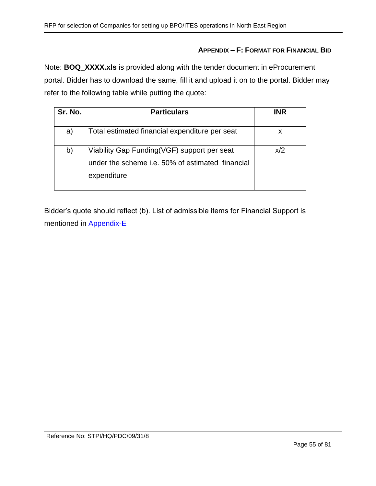### **APPENDIX – F: FORMAT FOR FINANCIAL BID**

Note: **BOQ\_XXXX.xls** is provided along with the tender document in eProcurement portal. Bidder has to download the same, fill it and upload it on to the portal. Bidder may refer to the following table while putting the quote:

| Sr. No. | <b>Particulars</b>                                                                                             | <b>INR</b> |
|---------|----------------------------------------------------------------------------------------------------------------|------------|
| a)      | Total estimated financial expenditure per seat                                                                 | х          |
| b)      | Viability Gap Funding(VGF) support per seat<br>under the scheme i.e. 50% of estimated financial<br>expenditure | x/2        |

Bidder's quote should reflect (b). List of admissible items for Financial Support is mentioned in [Appendix-E](#page-53-0)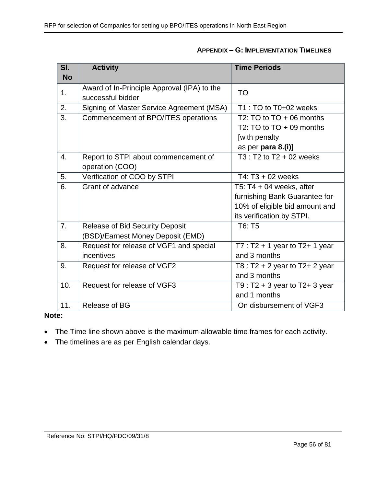| <b>APPENDIX - G: IMPLEMENTATION TIMELINES</b> |  |
|-----------------------------------------------|--|
|-----------------------------------------------|--|

| SI.       | <b>Activity</b>                             | <b>Time Periods</b>                 |  |  |
|-----------|---------------------------------------------|-------------------------------------|--|--|
| <b>No</b> |                                             |                                     |  |  |
| 1.        | Award of In-Principle Approval (IPA) to the | <b>TO</b>                           |  |  |
|           | successful bidder                           |                                     |  |  |
| 2.        | Signing of Master Service Agreement (MSA)   | T1 : TO to T0+02 weeks              |  |  |
| 3.        | Commencement of BPO/ITES operations         | T2: TO to $TO + 06$ months          |  |  |
|           |                                             | T2: TO to $TO + 09$ months          |  |  |
|           |                                             | [with penalty                       |  |  |
|           |                                             | as per para 8.(i)]                  |  |  |
| 4.        | Report to STPI about commencement of        | $T3: T2$ to $T2 + 02$ weeks         |  |  |
|           | operation (COO)                             |                                     |  |  |
| 5.        | Verification of COO by STPI                 | T4: $T3 + 02$ weeks                 |  |  |
| 6.        | Grant of advance                            | T5: $T4 + 04$ weeks, after          |  |  |
|           |                                             | furnishing Bank Guarantee for       |  |  |
|           |                                             | 10% of eligible bid amount and      |  |  |
|           |                                             | its verification by STPI.           |  |  |
| 7.        | <b>Release of Bid Security Deposit</b>      | T6: T5                              |  |  |
|           | (BSD)/Earnest Money Deposit (EMD)           |                                     |  |  |
| 8.        | Request for release of VGF1 and special     | $T7: T2 + 1$ year to T2+ 1 year     |  |  |
|           | incentives                                  | and 3 months                        |  |  |
| 9.        | Request for release of VGF2                 | T8 : $T2 + 2$ year to $T2 + 2$ year |  |  |
|           |                                             | and 3 months                        |  |  |
| 10.       | Request for release of VGF3                 | T9 : $T2 + 3$ year to $T2 + 3$ year |  |  |
|           |                                             | and 1 months                        |  |  |
| 11.       | Release of BG                               | On disbursement of VGF3             |  |  |

### **Note:**

- The Time line shown above is the maximum allowable time frames for each activity.
- The timelines are as per English calendar days.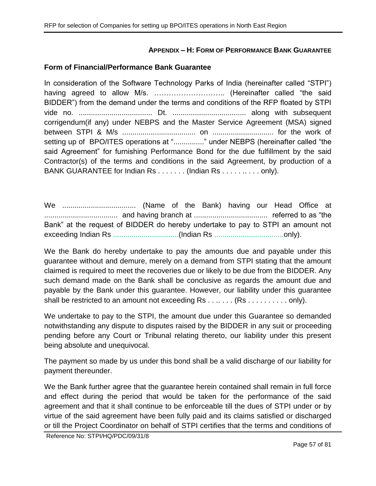### **APPENDIX – H: FORM OF PERFORMANCE BANK GUARANTEE**

#### **Form of Financial/Performance Bank Guarantee**

In consideration of the Software Technology Parks of India (hereinafter called "STPI") having agreed to allow M/s. ……………………….. (Hereinafter called "the said BIDDER") from the demand under the terms and conditions of the RFP floated by STPI vide no. .................................... Dt. .................................... along with subsequent corrigendum(if any) under NEBPS and the Master Service Agreement (MSA) signed between STPI & M/s .................................... on .............................. for the work of setting up of BPO/ITES operations at "................" under NEBPS (hereinafter called "the said Agreement" for furnishing Performance Bond for the due fulfillment by the said Contractor(s) of the terms and conditions in the said Agreement, by production of a BANK GUARANTEE for Indian Rs . . . . . . . (Indian Rs . . . . . . . . . . only).

We .................................... (Name of the Bank) having our Head Office at .................................... and having branch at .................................... referred to as "the Bank" at the request of BIDDER do hereby undertake to pay to STPI an amount not exceeding Indian Rs ................................(Indian Rs ..................................only).

We the Bank do hereby undertake to pay the amounts due and payable under this guarantee without and demure, merely on a demand from STPI stating that the amount claimed is required to meet the recoveries due or likely to be due from the BIDDER. Any such demand made on the Bank shall be conclusive as regards the amount due and payable by the Bank under this guarantee. However, our liability under this guarantee shall be restricted to an amount not exceeding Rs . . . . . . . (Rs . . . . . . . . . . only).

We undertake to pay to the STPI, the amount due under this Guarantee so demanded notwithstanding any dispute to disputes raised by the BIDDER in any suit or proceeding pending before any Court or Tribunal relating thereto, our liability under this present being absolute and unequivocal.

The payment so made by us under this bond shall be a valid discharge of our liability for payment thereunder.

We the Bank further agree that the guarantee herein contained shall remain in full force and effect during the period that would be taken for the performance of the said agreement and that it shall continue to be enforceable till the dues of STPI under or by virtue of the said agreement have been fully paid and its claims satisfied or discharged or till the Project Coordinator on behalf of STPI certifies that the terms and conditions of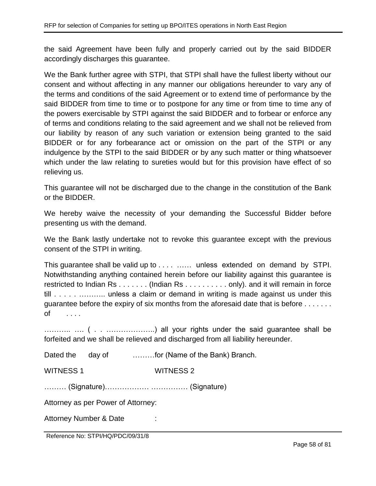the said Agreement have been fully and properly carried out by the said BIDDER accordingly discharges this guarantee.

We the Bank further agree with STPI, that STPI shall have the fullest liberty without our consent and without affecting in any manner our obligations hereunder to vary any of the terms and conditions of the said Agreement or to extend time of performance by the said BIDDER from time to time or to postpone for any time or from time to time any of the powers exercisable by STPI against the said BIDDER and to forbear or enforce any of terms and conditions relating to the said agreement and we shall not be relieved from our liability by reason of any such variation or extension being granted to the said BIDDER or for any forbearance act or omission on the part of the STPI or any indulgence by the STPI to the said BIDDER or by any such matter or thing whatsoever which under the law relating to sureties would but for this provision have effect of so relieving us.

This guarantee will not be discharged due to the change in the constitution of the Bank or the BIDDER.

We hereby waive the necessity of your demanding the Successful Bidder before presenting us with the demand.

We the Bank lastly undertake not to revoke this guarantee except with the previous consent of the STPI in writing.

This guarantee shall be valid up to . . . . …… unless extended on demand by STPI. Notwithstanding anything contained herein before our liability against this guarantee is restricted to Indian Rs . . . . . . . (Indian Rs . . . . . . . . . . only). and it will remain in force till . . . . . . . . . . . . . . . . unless a claim or demand in writing is made against us under this guarantee before the expiry of six months from the aforesaid date that is before . . . . . . . of . . . .

……….. …. ( . . ………………..) all your rights under the said guarantee shall be forfeited and we shall be relieved and discharged from all liability hereunder.

Dated the day of ………for (Name of the Bank) Branch.

WITNESS 1 WITNESS 2

……… (Signature)……………… …………… (Signature)

Attorney as per Power of Attorney:

Attorney Number & Date :

Reference No: STPI/HQ/PDC/09/31/8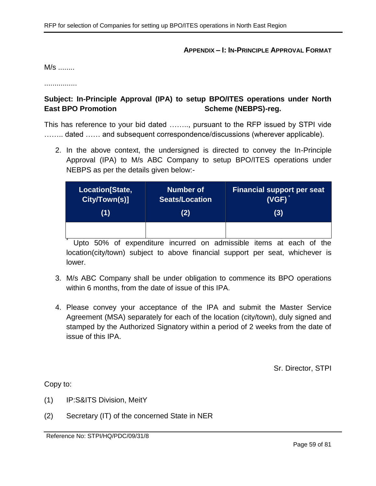#### **APPENDIX – I: IN-PRINCIPLE APPROVAL FORMAT**

M/s ........

................

## **Subject: In-Principle Approval (IPA) to setup BPO/ITES operations under North East BPO Promotion Scheme (NEBPS)-reg.**

This has reference to your bid dated …….., pursuant to the RFP issued by STPI vide ........ dated ...... and subsequent correspondence/discussions (wherever applicable).

2. In the above context, the undersigned is directed to convey the In-Principle Approval (IPA) to M/s ABC Company to setup BPO/ITES operations under NEBPS as per the details given below:-

| Location[State, | <b>Number of</b>      | <b>Financial support per seat</b> |  |
|-----------------|-----------------------|-----------------------------------|--|
| City/Town(s)]   | <b>Seats/Location</b> | $(VGF)^*$                         |  |
| (1)             | (2)                   | (3)                               |  |
|                 |                       |                                   |  |

Upto 50% of expenditure incurred on admissible items at each of the location(city/town) subject to above financial support per seat, whichever is lower.

- 3. M/s ABC Company shall be under obligation to commence its BPO operations within 6 months, from the date of issue of this IPA.
- 4. Please convey your acceptance of the IPA and submit the Master Service Agreement (MSA) separately for each of the location (city/town), duly signed and stamped by the Authorized Signatory within a period of 2 weeks from the date of issue of this IPA.

Sr. Director, STPI

Copy to:

- (1) IP:S&ITS Division, MeitY
- (2) Secretary (IT) of the concerned State in NER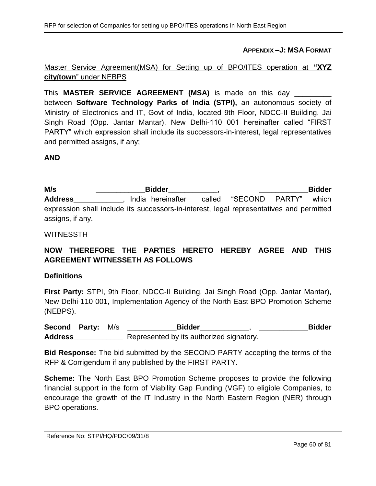**APPENDIX –J: MSA FORMAT**

## Master Service Agreement(MSA) for Setting up of BPO/ITES operation at **"XYZ city/town**" under NEBPS

This **MASTER SERVICE AGREEMENT (MSA)** is made on this day \_\_\_\_\_\_\_\_\_ between **Software Technology Parks of India (STPI),** an autonomous society of Ministry of Electronics and IT, Govt of India, located 9th Floor, NDCC-II Building, Jai Singh Road (Opp. Jantar Mantar), New Delhi-110 001 hereinafter called "FIRST PARTY" which expression shall include its successors-in-interest, legal representatives and permitted assigns, if any;

### **AND**

**M/s \_\_\_\_\_\_\_\_\_\_\_\_Bidder\_\_\_\_\_\_\_\_\_\_\_\_**, **\_\_\_\_\_\_\_\_\_\_\_\_Bidder**  Address **Address** , India hereinafter called "SECOND PARTY" which expression shall include its successors-in-interest, legal representatives and permitted assigns, if any.

#### WITNESSTH

# **NOW THEREFORE THE PARTIES HERETO HEREBY AGREE AND THIS AGREEMENT WITNESSETH AS FOLLOWS**

#### **Definitions**

**First Party:** STPI, 9th Floor, NDCC-II Building, Jai Singh Road (Opp. Jantar Mantar), New Delhi-110 001, Implementation Agency of the North East BPO Promotion Scheme (NEBPS).

**Second Party:** M/s **\_\_\_\_\_\_\_\_\_\_\_\_Bidder\_\_\_\_\_\_\_\_\_\_\_\_**, **\_\_\_\_\_\_\_\_\_\_\_\_Bidder Address\_\_\_\_\_\_\_\_\_\_\_\_** Represented by its authorized signatory.

**Bid Response:** The bid submitted by the SECOND PARTY accepting the terms of the RFP & Corrigendum if any published by the FIRST PARTY.

**Scheme:** The North East BPO Promotion Scheme proposes to provide the following financial support in the form of Viability Gap Funding (VGF) to eligible Companies, to encourage the growth of the IT Industry in the North Eastern Region (NER) through BPO operations.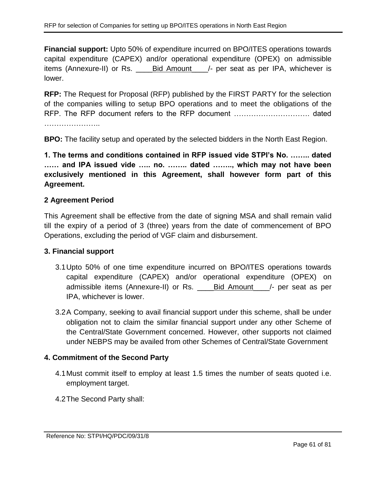**Financial support:** Upto 50% of expenditure incurred on BPO/ITES operations towards capital expenditure (CAPEX) and/or operational expenditure (OPEX) on admissible items (Annexure-II) or Rs. \_\_\_\_Bid Amount\_\_\_\_/- per seat as per IPA, whichever is lower.

**RFP:** The Request for Proposal (RFP) published by the FIRST PARTY for the selection of the companies willing to setup BPO operations and to meet the obligations of the RFP. The RFP document refers to the RFP document …………………………. dated

**BPO:** The facility setup and operated by the selected bidders in the North East Region.

**1. The terms and conditions contained in RFP issued vide STPI's No. …….. dated …… and IPA issued vide ….. no. …….. dated …….., which may not have been exclusively mentioned in this Agreement, shall however form part of this Agreement.**

## **2 Agreement Period**

This Agreement shall be effective from the date of signing MSA and shall remain valid till the expiry of a period of 3 (three) years from the date of commencement of BPO Operations, excluding the period of VGF claim and disbursement.

### **3. Financial support**

- 3.1Upto 50% of one time expenditure incurred on BPO/ITES operations towards capital expenditure (CAPEX) and/or operational expenditure (OPEX) on admissible items (Annexure-II) or Rs. \_\_\_\_Bid Amount\_\_\_\_/- per seat as per IPA, whichever is lower.
- 3.2A Company, seeking to avail financial support under this scheme, shall be under obligation not to claim the similar financial support under any other Scheme of the Central/State Government concerned. However, other supports not claimed under NEBPS may be availed from other Schemes of Central/State Government

## **4. Commitment of the Second Party**

- 4.1Must commit itself to employ at least 1.5 times the number of seats quoted i.e. employment target.
- 4.2The Second Party shall: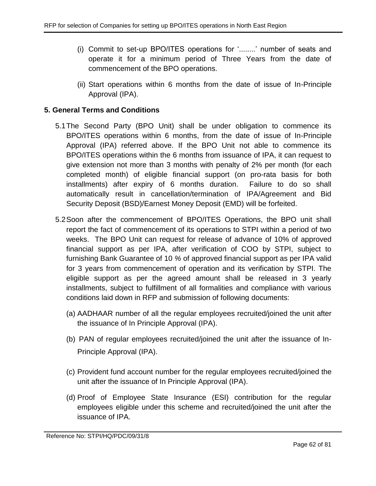- (i) Commit to set-up BPO/ITES operations for '........' number of seats and operate it for a minimum period of Three Years from the date of commencement of the BPO operations.
- (ii) Start operations within 6 months from the date of issue of In-Principle Approval (IPA).

## **5. General Terms and Conditions**

- 5.1The Second Party (BPO Unit) shall be under obligation to commence its BPO/ITES operations within 6 months, from the date of issue of In-Principle Approval (IPA) referred above. If the BPO Unit not able to commence its BPO/ITES operations within the 6 months from issuance of IPA, it can request to give extension not more than 3 months with penalty of 2% per month (for each completed month) of eligible financial support (on pro-rata basis for both installments) after expiry of 6 months duration. Failure to do so shall automatically result in cancellation/termination of IPA/Agreement and Bid Security Deposit (BSD)/Earnest Money Deposit (EMD) will be forfeited.
- <span id="page-61-0"></span>5.2Soon after the commencement of BPO/ITES Operations, the BPO unit shall report the fact of commencement of its operations to STPI within a period of two weeks. The BPO Unit can request for release of advance of 10% of approved financial support as per IPA, after verification of COO by STPI, subject to furnishing Bank Guarantee of 10 *%* of approved financial support as per IPA valid for 3 years from commencement of operation and its verification by STPI. The eligible support as per the agreed amount shall be released in 3 yearly installments, subject to fulfillment of all formalities and compliance with various conditions laid down in RFP and submission of following documents:
	- (a) AADHAAR number of all the regular employees recruited/joined the unit after the issuance of In Principle Approval (IPA).
	- (b) PAN of regular employees recruited/joined the unit after the issuance of In-Principle Approval (IPA).
	- (c) Provident fund account number for the regular employees recruited/joined the unit after the issuance of In Principle Approval (IPA).
	- (d) Proof of Employee State Insurance (ESI) contribution for the regular employees eligible under this scheme and recruited/joined the unit after the issuance of IPA.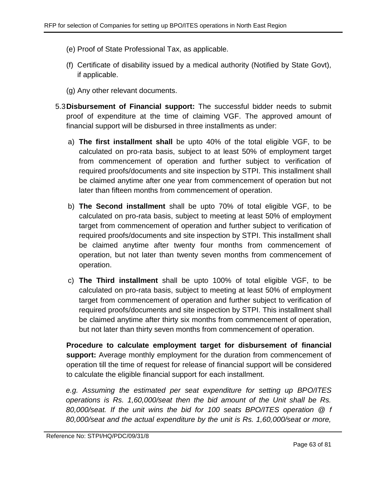- (e) Proof of State Professional Tax, as applicable.
- (f) Certificate of disability issued by a medical authority (Notified by State Govt), if applicable.
- (g) Any other relevant documents.
- 5.3**Disbursement of Financial support:** The successful bidder needs to submit proof of expenditure at the time of claiming VGF. The approved amount of financial support will be disbursed in three installments as under:
	- a) **The first installment shall** be upto 40% of the total eligible VGF, to be calculated on pro-rata basis, subject to at least 50% of employment target from commencement of operation and further subject to verification of required proofs/documents and site inspection by STPI. This installment shall be claimed anytime after one year from commencement of operation but not later than fifteen months from commencement of operation.
	- b) **The Second installment** shall be upto 70% of total eligible VGF, to be calculated on pro-rata basis, subject to meeting at least 50% of employment target from commencement of operation and further subject to verification of required proofs/documents and site inspection by STPI. This installment shall be claimed anytime after twenty four months from commencement of operation, but not later than twenty seven months from commencement of operation.
	- c) **The Third installment** shall be upto 100% of total eligible VGF, to be calculated on pro-rata basis, subject to meeting at least 50% of employment target from commencement of operation and further subject to verification of required proofs/documents and site inspection by STPI. This installment shall be claimed anytime after thirty six months from commencement of operation, but not later than thirty seven months from commencement of operation.

**Procedure to calculate employment target for disbursement of financial support:** Average monthly employment for the duration from commencement of operation till the time of request for release of financial support will be considered to calculate the eligible financial support for each installment.

*e.g. Assuming the estimated per seat expenditure for setting up BPO/ITES operations is Rs. 1,60,000/seat then the bid amount of the Unit shall be Rs. 80,000/seat. If the unit wins the bid for 100 seats BPO/ITES operation @ f 80,000/seat and the actual expenditure by the unit is Rs. 1,60,000/seat or more,*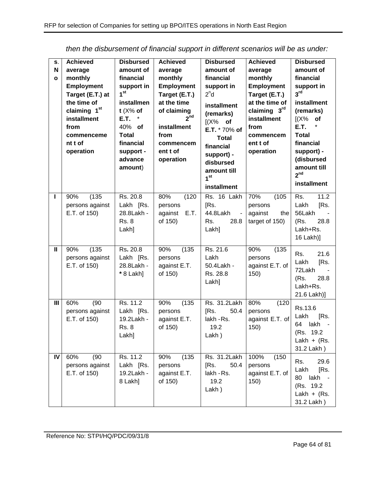| S.<br>N<br>$\mathbf{o}$ | <b>Achieved</b><br>average<br>monthly<br><b>Employment</b><br>Target (E.T.) at<br>the time of<br>claiming 1 <sup>st</sup><br>installment<br>from<br>commenceme<br>nt t of<br>operation | <b>Disbursed</b><br>amount of<br>financial<br>support in<br>1 <sup>st</sup><br>installmen<br>$t$ (X% of<br>E.T.<br>40% of<br>Total<br>financial<br>support -<br>advance<br>amount) | <b>Achieved</b><br>average<br>monthly<br>Employment<br>Target (E.T.)<br>at the time<br>of claiming<br>2 <sup>nd</sup><br>installment<br>from<br>commencem<br>ent t of<br>operation | <b>Disbursed</b><br>amount of<br>financial<br>support in<br>2 <sup>n</sup> d<br>installment<br>(remarks)<br>$[(X\%$ of<br>E.T. * 70% of<br><b>Total</b><br>financial<br>support) -<br>disbursed<br>amount till<br>1 <sup>st</sup><br>installment | <b>Achieved</b><br>average<br>monthly<br><b>Employment</b><br>Target (E.T.)<br>at the time of<br>claiming 3rd<br>installment<br>from<br>commencem<br>ent t of<br>operation | <b>Disbursed</b><br>amount of<br>financial<br>support in<br>3 <sup>rd</sup><br>installment<br>(remarks)<br>$[(X\%$ of<br>E.T.<br>*<br><b>Total</b><br>financial<br>support) -<br>(disbursed<br>amount till<br>2 <sup>nd</sup><br>installment |
|-------------------------|----------------------------------------------------------------------------------------------------------------------------------------------------------------------------------------|------------------------------------------------------------------------------------------------------------------------------------------------------------------------------------|------------------------------------------------------------------------------------------------------------------------------------------------------------------------------------|--------------------------------------------------------------------------------------------------------------------------------------------------------------------------------------------------------------------------------------------------|----------------------------------------------------------------------------------------------------------------------------------------------------------------------------|----------------------------------------------------------------------------------------------------------------------------------------------------------------------------------------------------------------------------------------------|
| ı                       | (135)<br>90%<br>persons against<br>E.T. of 150)                                                                                                                                        | Rs. 20.8<br>Lakh [Rs.<br>28.8Lakh -<br><b>Rs. 8</b><br>Lakh]                                                                                                                       | 80%<br>(120)<br>persons<br>against<br>E.T.<br>of 150)                                                                                                                              | Rs. 16 Lakh<br>[Rs.<br>44.8Lakh<br>$\blacksquare$<br>28.8<br>Rs.<br>Lakh]                                                                                                                                                                        | 70%<br>(105)<br>persons<br>against<br>the<br>target of 150)                                                                                                                | 11.2<br>Rs.<br>Lakh<br>[Rs.<br>56Lakh<br>(Rs.<br>28.8<br>Lakh+Rs.<br>16 Lakh)]                                                                                                                                                               |
| $\mathbf{II}$           | (135)<br>90%<br>persons against<br>E.T. of 150)                                                                                                                                        | Rs. 20.8<br>Lakh [Rs.<br>28.8Lakh -<br>* 8 Lakh]                                                                                                                                   | 90%<br>(135)<br>persons<br>against E.T.<br>of 150)                                                                                                                                 | Rs. 21.6<br>Lakh<br>50.4Lakh -<br>Rs. 28.8<br>Lakh]                                                                                                                                                                                              | 90%<br>(135)<br>persons<br>against E.T. of<br>150)                                                                                                                         | 21.6<br>Rs.<br>Lakh<br>[Rs.<br>72Lakh<br>(Rs.<br>28.8<br>Lakh+Rs.<br>21.6 Lakh)]                                                                                                                                                             |
| $\mathbf{III}$          | (90)<br>60%<br>persons against<br>E.T. of 150)                                                                                                                                         | Rs. 11.2<br>Lakh [Rs.<br>19.2Lakh -<br><b>Rs. 8</b><br>Lakh]                                                                                                                       | 90%<br>(135)<br>persons<br>against E.T.<br>of 150)                                                                                                                                 | Rs. 31.2Lakh<br>[Rs.<br>50.4<br>lakh - Rs.<br>19.2<br>Lakh)                                                                                                                                                                                      | 80%<br>(120)<br>persons<br>against E.T. of<br>150)                                                                                                                         | Rs.13.6<br>Lakh<br>[Rs.<br>lakh<br>64<br>(Rs. 19.2)<br>Lakh + $(Rs.$<br>31.2 Lakh)                                                                                                                                                           |
| IV                      | 60%<br>(90)<br>persons against<br>E.T. of 150)                                                                                                                                         | Rs. 11.2<br>Lakh [Rs.<br>19.2Lakh -<br>8 Lakh]                                                                                                                                     | (135)<br>90%<br>persons<br>against E.T.<br>of 150)                                                                                                                                 | Rs. 31.2Lakh<br>50.4<br>[Rs.<br>lakh - Rs.<br>19.2<br>Lakh)                                                                                                                                                                                      | 100%<br>(150)<br>persons<br>against E.T. of<br>150)                                                                                                                        | 29.6<br>Rs.<br>Lakh<br>[Rs.<br>lakh<br>80<br>(Rs. 19.2)<br>Lakh + $(Rs.$<br>31.2 Lakh)                                                                                                                                                       |

*then the disbursement of financial support in different scenarios will be as under:*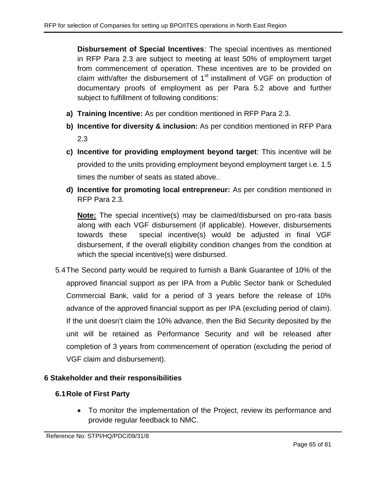**Disbursement of Special Incentives**: The special incentives as mentioned in RFP Para [2.3](#page-6-0) are subject to meeting at least 50% of employment target from commencement of operation. These incentives are to be provided on claim with/after the disbursement of  $1<sup>st</sup>$  installment of VGF on production of documentary proofs of employment as per Para [5.2](#page-61-0) above and further subject to fulfillment of following conditions:

- **a) Training Incentive:** As per condition mentioned in RFP Para [2.3.](#page-6-0)
- **b) Incentive for diversity & inclusion:** As per condition mentioned in RFP Para [2.3](#page-6-0)
- **c) Incentive for providing employment beyond target**: This incentive will be provided to the units providing employment beyond employment target i.e. 1.5 times the number of seats as stated above..
- **d) Incentive for promoting local entrepreneur:** As per condition mentioned in RFP Para [2.3.](#page-6-0)

**Note:** The special incentive(s) may be claimed/disbursed on pro-rata basis along with each VGF disbursement (if applicable). However, disbursements towards these special incentive(s) would be adjusted in final VGF disbursement, if the overall eligibility condition changes from the condition at which the special incentive(s) were disbursed.

5.4The Second party would be required to furnish a Bank Guarantee of 10% of the approved financial support as per IPA from a Public Sector bank or Scheduled Commercial Bank, valid for a period of 3 years before the release of 10% advance of the approved financial support as per IPA (excluding period of claim). If the unit doesn't claim the 10% advance, then the Bid Security deposited by the unit will be retained as Performance Security and will be released after completion of 3 years from commencement of operation (excluding the period of VGF claim and disbursement).

## **6 Stakeholder and their responsibilities**

## **6.1Role of First Party**

 To monitor the implementation of the Project, review its performance and provide regular feedback to NMC.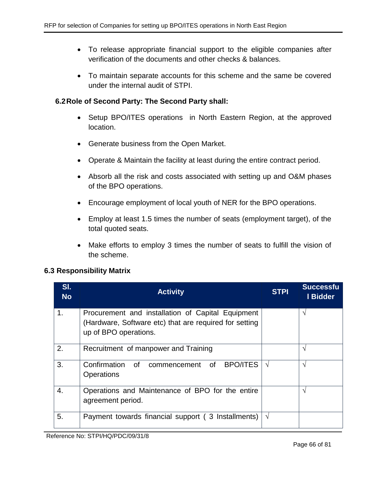- To release appropriate financial support to the eligible companies after verification of the documents and other checks & balances.
- To maintain separate accounts for this scheme and the same be covered under the internal audit of STPI.

### **6.2Role of Second Party: The Second Party shall:**

- Setup BPO/ITES operations in North Eastern Region, at the approved location.
- Generate business from the Open Market.
- Operate & Maintain the facility at least during the entire contract period.
- Absorb all the risk and costs associated with setting up and O&M phases of the BPO operations.
- Encourage employment of local youth of NER for the BPO operations.
- Employ at least 1.5 times the number of seats (employment target), of the total quoted seats.
- Make efforts to employ 3 times the number of seats to fulfill the vision of the scheme.

### **6.3 Responsibility Matrix**

| SI.<br><b>No</b> | <b>Activity</b>                                        | <b>STPI</b> | <b>Successfu</b><br>I Bidder |
|------------------|--------------------------------------------------------|-------------|------------------------------|
| 1.               | Procurement and installation of Capital Equipment      |             | V                            |
|                  | (Hardware, Software etc) that are required for setting |             |                              |
|                  | up of BPO operations.                                  |             |                              |
| 2.               | Recruitment of manpower and Training                   |             | ٦                            |
| 3.               | <b>BPO/ITES</b><br>Confirmation of commencement<br>of  | V           | N                            |
|                  | <b>Operations</b>                                      |             |                              |
|                  |                                                        |             |                              |
| 4.               | Operations and Maintenance of BPO for the entire       |             | V                            |
|                  | agreement period.                                      |             |                              |
| 5.               | Payment towards financial support (3 Installments)     | $\sqrt{ }$  |                              |
|                  |                                                        |             |                              |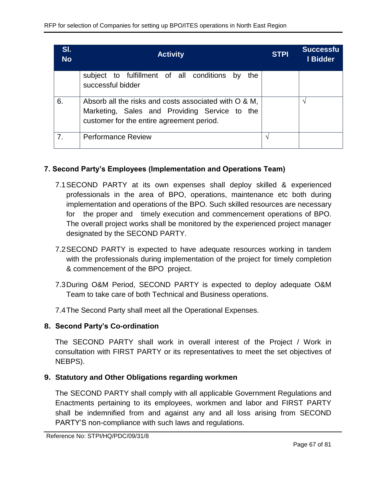| SI.<br><b>No</b> | <b>Activity</b>                                                                                                                                     | <b>STPI</b> | <b>Successfu</b><br>I Bidder |
|------------------|-----------------------------------------------------------------------------------------------------------------------------------------------------|-------------|------------------------------|
|                  | subject to fulfillment of all conditions by<br>the<br>successful bidder                                                                             |             |                              |
| 6.               | Absorb all the risks and costs associated with O & M,<br>Marketing, Sales and Providing Service to the<br>customer for the entire agreement period. |             | ٦                            |
| 7.               | <b>Performance Review</b>                                                                                                                           |             |                              |

## **7. Second Party's Employees (Implementation and Operations Team)**

- 7.1SECOND PARTY at its own expenses shall deploy skilled & experienced professionals in the area of BPO, operations, maintenance etc both during implementation and operations of the BPO. Such skilled resources are necessary for the proper and timely execution and commencement operations of BPO. The overall project works shall be monitored by the experienced project manager designated by the SECOND PARTY.
- 7.2SECOND PARTY is expected to have adequate resources working in tandem with the professionals during implementation of the project for timely completion & commencement of the BPO project.
- 7.3During O&M Period, SECOND PARTY is expected to deploy adequate O&M Team to take care of both Technical and Business operations.
- 7.4The Second Party shall meet all the Operational Expenses.

## **8. Second Party's Co-ordination**

The SECOND PARTY shall work in overall interest of the Project / Work in consultation with FIRST PARTY or its representatives to meet the set objectives of NEBPS).

## **9. Statutory and Other Obligations regarding workmen**

The SECOND PARTY shall comply with all applicable Government Regulations and Enactments pertaining to its employees, workmen and labor and FIRST PARTY shall be indemnified from and against any and all loss arising from SECOND PARTY'S non-compliance with such laws and regulations.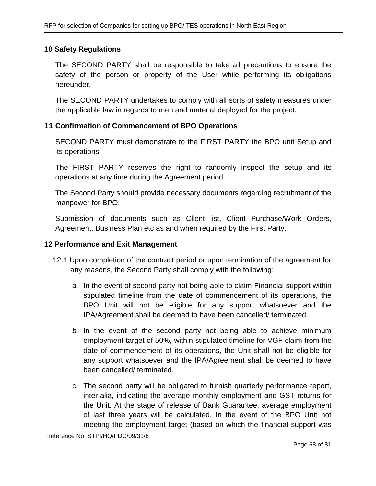### **10 Safety Regulations**

The SECOND PARTY shall be responsible to take all precautions to ensure the safety of the person or property of the User while performing its obligations hereunder.

The SECOND PARTY undertakes to comply with all sorts of safety measures under the applicable law in regards to men and material deployed for the project.

### **11 Confirmation of Commencement of BPO Operations**

SECOND PARTY must demonstrate to the FIRST PARTY the BPO unit Setup and its operations.

The FIRST PARTY reserves the right to randomly inspect the setup and its operations at any time during the Agreement period.

The Second Party should provide necessary documents regarding recruitment of the manpower for BPO.

Submission of documents such as Client list, Client Purchase/Work Orders, Agreement, Business Plan etc as and when required by the First Party.

### **12 Performance and Exit Management**

- 12.1 Upon completion of the contract period or upon termination of the agreement for any reasons, the Second Party shall comply with the following:
	- *a.* In the event of second party not being able to claim Financial support within stipulated timeline from the date of commencement of its operations, the BPO Unit will not be eligible for any support whatsoever and the IPA/Agreement shall be deemed to have been cancelled/ terminated.
	- *b.* In the event of the second party not being able to achieve minimum employment target of 50%, within stipulated timeline for VGF claim from the date of commencement of its operations, the Unit shall not be eligible for any support whatsoever and the IPA/Agreement shall be deemed to have been cancelled/ terminated.
	- c. The second party will be obligated to furnish quarterly performance report, inter-alia, indicating the average monthly employment and GST returns for the Unit. At the stage of release of Bank Guarantee, average employment of last three years will be calculated. In the event of the BPO Unit not meeting the employment target (based on which the financial support was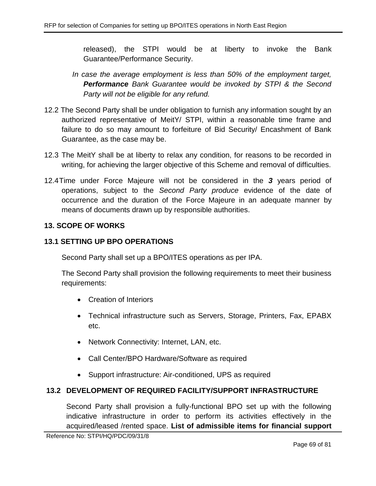released), the STPI would be at liberty to invoke the Bank Guarantee/Performance Security.

- *In case the average employment is less than 50% of the employment target, Performance Bank Guarantee would be invoked by STPI & the Second Party will not be eligible for any refund.*
- 12.2 The Second Party shall be under obligation to furnish any information sought by an authorized representative of MeitY/ STPI, within a reasonable time frame and failure to do so may amount to forfeiture of Bid Security/ Encashment of Bank Guarantee, as the case may be.
- 12.3 The MeitY shall be at liberty to relax any condition, for reasons to be recorded in writing, for achieving the larger objective of this Scheme and removal of difficulties.
- 12.4Time under Force Majeure will not be considered in the *3* years period of operations, subject to the *Second Party produce* evidence of the date of occurrence and the duration of the Force Majeure in an adequate manner by means of documents drawn up by responsible authorities.

## **13. SCOPE OF WORKS**

### **13.1 SETTING UP BPO OPERATIONS**

Second Party shall set up a BPO/ITES operations as per IPA.

The Second Party shall provision the following requirements to meet their business requirements:

- Creation of Interiors
- Technical infrastructure such as Servers, Storage, Printers, Fax, EPABX etc.
- Network Connectivity: Internet, LAN, etc.
- Call Center/BPO Hardware/Software as required
- Support infrastructure: Air-conditioned, UPS as required

## **13.2 DEVELOPMENT OF REQUIRED FACILITY/SUPPORT INFRASTRUCTURE**

Second Party shall provision a fully-functional BPO set up with the following indicative infrastructure in order to perform its activities effectively in the acquired/leased /rented space. **List of admissible items for financial support**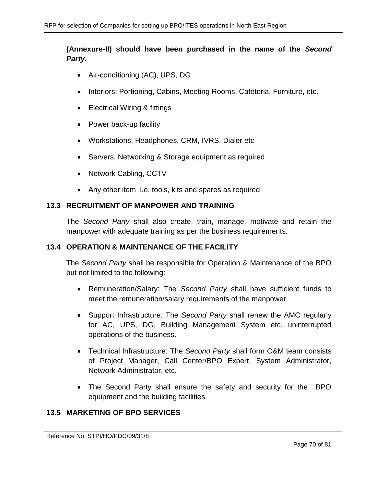## **(Annexure-II) should have been purchased in the name of the** *Second Party***.**

- Air-conditioning (AC), UPS, DG
- Interiors: Portioning, Cabins, Meeting Rooms, Cafeteria, Furniture, etc.
- Electrical Wiring & fittings
- Power back-up facility
- Workstations, Headphones, CRM, IVRS, Dialer etc
- Servers, Networking & Storage equipment as required
- Network Cabling, CCTV
- Any other item i.e. tools, kits and spares as required

### **13.3 RECRUITMENT OF MANPOWER AND TRAINING**

The *Second Party* shall also create, train, manage, motivate and retain the manpower with adequate training as per the business requirements.

### **13.4 OPERATION & MAINTENANCE OF THE FACILITY**

The *Second Party* shall be responsible for Operation & Maintenance of the BPO but not limited to the following:

- Remuneration/Salary: The *Second Party* shall have sufficient funds to meet the remuneration/salary requirements of the manpower.
- Support Infrastructure: The *Second Party* shall renew the AMC regularly for AC, UPS, DG, Building Management System etc. uninterrupted operations of the business.
- Technical Infrastructure: The *Second Party* shall form O&M team consists of Project Manager, Call Center/BPO Expert, System Administrator, Network Administrator, etc.
- The Second Party shall ensure the safety and security for the BPO equipment and the building facilities.

### **13.5 MARKETING OF BPO SERVICES**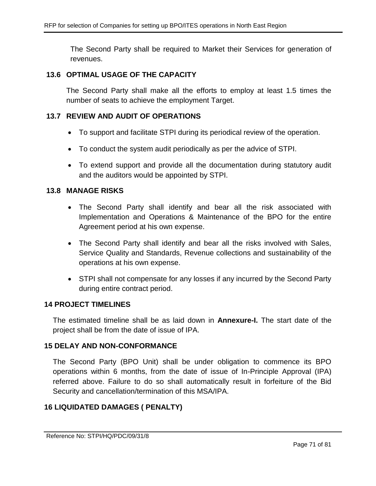The Second Party shall be required to Market their Services for generation of revenues.

#### **13.6 OPTIMAL USAGE OF THE CAPACITY**

The Second Party shall make all the efforts to employ at least 1.5 times the number of seats to achieve the employment Target.

### **13.7 REVIEW AND AUDIT OF OPERATIONS**

- To support and facilitate STPI during its periodical review of the operation.
- To conduct the system audit periodically as per the advice of STPI.
- To extend support and provide all the documentation during statutory audit and the auditors would be appointed by STPI.

#### **13.8 MANAGE RISKS**

- The Second Party shall identify and bear all the risk associated with Implementation and Operations & Maintenance of the BPO for the entire Agreement period at his own expense.
- The Second Party shall identify and bear all the risks involved with Sales, Service Quality and Standards, Revenue collections and sustainability of the operations at his own expense.
- STPI shall not compensate for any losses if any incurred by the Second Party during entire contract period.

#### **14 PROJECT TIMELINES**

The estimated timeline shall be as laid down in **Annexure-I.** The start date of the project shall be from the date of issue of IPA.

#### **15 DELAY AND NON-CONFORMANCE**

The Second Party (BPO Unit) shall be under obligation to commence its BPO operations within 6 months, from the date of issue of In-Principle Approval (IPA) referred above. Failure to do so shall automatically result in forfeiture of the Bid Security and cancellation/termination of this MSA/IPA.

### **16 LIQUIDATED DAMAGES ( PENALTY)**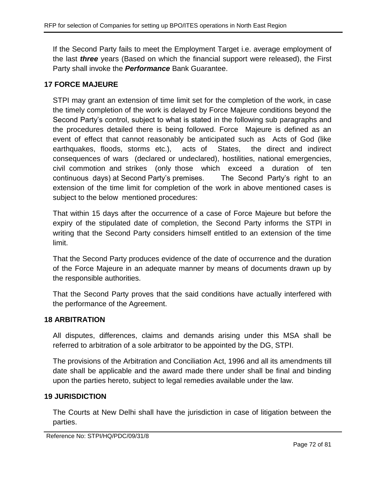If the Second Party fails to meet the Employment Target i.e. average employment of the last *three* years (Based on which the financial support were released), the First Party shall invoke the *Performance* Bank Guarantee.

## **17 FORCE MAJEURE**

STPI may grant an extension of time limit set for the completion of the work, in case the timely completion of the work is delayed by Force Majeure conditions beyond the Second Party's control, subject to what is stated in the following sub paragraphs and the procedures detailed there is being followed. Force Majeure is defined as an event of effect that cannot reasonably be anticipated such as Acts of God (like earthquakes, floods, storms etc.), acts of States, the direct and indirect consequences of wars (declared or undeclared), hostilities, national emergencies, civil commotion and strikes (only those which exceed a duration of ten continuous days) at Second Party's premises. The Second Party's right to an extension of the time limit for completion of the work in above mentioned cases is subject to the below mentioned procedures:

That within 15 days after the occurrence of a case of Force Majeure but before the expiry of the stipulated date of completion, the Second Party informs the STPI in writing that the Second Party considers himself entitled to an extension of the time limit.

That the Second Party produces evidence of the date of occurrence and the duration of the Force Majeure in an adequate manner by means of documents drawn up by the responsible authorities.

That the Second Party proves that the said conditions have actually interfered with the performance of the Agreement.

## **18 ARBITRATION**

All disputes, differences, claims and demands arising under this MSA shall be referred to arbitration of a sole arbitrator to be appointed by the DG, STPI.

The provisions of the Arbitration and Conciliation Act, 1996 and all its amendments till date shall be applicable and the award made there under shall be final and binding upon the parties hereto, subject to legal remedies available under the law.

### **19 JURISDICTION**

The Courts at New Delhi shall have the jurisdiction in case of litigation between the parties.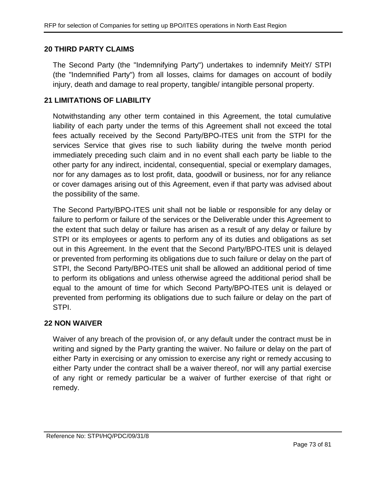### **20 THIRD PARTY CLAIMS**

The Second Party (the "Indemnifying Party") undertakes to indemnify MeitY/ STPI (the "Indemnified Party") from all losses, claims for damages on account of bodily injury, death and damage to real property, tangible/ intangible personal property.

### **21 LIMITATIONS OF LIABILITY**

Notwithstanding any other term contained in this Agreement, the total cumulative liability of each party under the terms of this Agreement shall not exceed the total fees actually received by the Second Party/BPO-ITES unit from the STPI for the services Service that gives rise to such liability during the twelve month period immediately preceding such claim and in no event shall each party be liable to the other party for any indirect, incidental, consequential, special or exemplary damages, nor for any damages as to lost profit, data, goodwill or business, nor for any reliance or cover damages arising out of this Agreement, even if that party was advised about the possibility of the same.

The Second Party/BPO-ITES unit shall not be liable or responsible for any delay or failure to perform or failure of the services or the Deliverable under this Agreement to the extent that such delay or failure has arisen as a result of any delay or failure by STPI or its employees or agents to perform any of its duties and obligations as set out in this Agreement. In the event that the Second Party/BPO-ITES unit is delayed or prevented from performing its obligations due to such failure or delay on the part of STPI, the Second Party/BPO-ITES unit shall be allowed an additional period of time to perform its obligations and unless otherwise agreed the additional period shall be equal to the amount of time for which Second Party/BPO-ITES unit is delayed or prevented from performing its obligations due to such failure or delay on the part of STPI.

#### **22 NON WAIVER**

Waiver of any breach of the provision of, or any default under the contract must be in writing and signed by the Party granting the waiver. No failure or delay on the part of either Party in exercising or any omission to exercise any right or remedy accusing to either Party under the contract shall be a waiver thereof, nor will any partial exercise of any right or remedy particular be a waiver of further exercise of that right or remedy.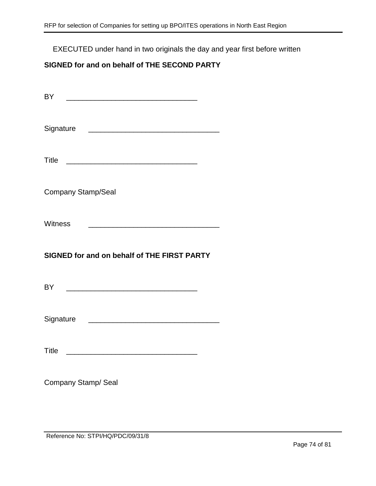EXECUTED under hand in two originals the day and year first before written

# **SIGNED for and on behalf of THE SECOND PARTY**

| <b>BY</b>                                                                                                                              |  |
|----------------------------------------------------------------------------------------------------------------------------------------|--|
|                                                                                                                                        |  |
|                                                                                                                                        |  |
| <b>Company Stamp/Seal</b>                                                                                                              |  |
| <b>Witness</b><br><u> 1980 - Johann Barn, mars eta bainar eta bainar eta baina eta baina eta baina eta baina eta baina eta baina e</u> |  |
|                                                                                                                                        |  |
| SIGNED for and on behalf of THE FIRST PARTY                                                                                            |  |
|                                                                                                                                        |  |
| Signature <b>Example 2018</b> Signature <b>CONSIDERED ACCESS</b>                                                                       |  |
|                                                                                                                                        |  |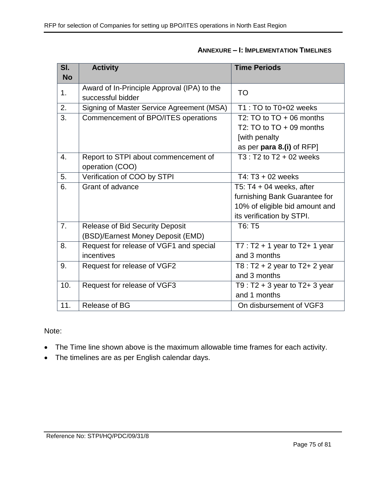| $\overline{\mathsf{SI}.}$ | <b>Activity</b>                             | <b>Time Periods</b>                 |
|---------------------------|---------------------------------------------|-------------------------------------|
| <b>No</b>                 |                                             |                                     |
| 1.                        | Award of In-Principle Approval (IPA) to the | <b>TO</b>                           |
|                           | successful bidder                           |                                     |
| 2.                        | Signing of Master Service Agreement (MSA)   | T1 : TO to T0+02 weeks              |
| $\overline{3}$ .          | Commencement of BPO/ITES operations         | T2: TO to $TO + 06$ months          |
|                           |                                             | T2: TO to $TO + 09$ months          |
|                           |                                             | [with penalty                       |
|                           |                                             | as per para 8.(i) of RFP]           |
| 4.                        | Report to STPI about commencement of        | $T3: T2$ to $T2 + 02$ weeks         |
|                           | operation (COO)                             |                                     |
| $\overline{5}$ .          | Verification of COO by STPI                 | T4: T3 + 02 weeks                   |
| 6.                        | Grant of advance                            | T5: T4 + 04 weeks, after            |
|                           |                                             | furnishing Bank Guarantee for       |
|                           |                                             | 10% of eligible bid amount and      |
|                           |                                             | its verification by STPI.           |
| $\overline{7}$ .          | <b>Release of Bid Security Deposit</b>      | T6: T5                              |
|                           | (BSD)/Earnest Money Deposit (EMD)           |                                     |
| 8.                        | Request for release of VGF1 and special     | $T7: T2 + 1$ year to T2+ 1 year     |
|                           | incentives                                  | and 3 months                        |
| 9.                        | Request for release of VGF2                 | T8 : $T2 + 2$ year to $T2 + 2$ year |
|                           |                                             | and 3 months                        |
| 10.                       | Request for release of VGF3                 | T9 : $T2 + 3$ year to $T2 + 3$ year |
|                           |                                             | and 1 months                        |
| 11.                       | Release of BG                               | On disbursement of VGF3             |

## **ANNEXURE – I: IMPLEMENTATION TIMELINES**

Note:

- The Time line shown above is the maximum allowable time frames for each activity.
- The timelines are as per English calendar days.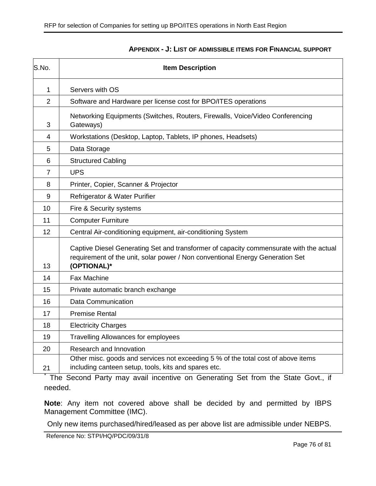| S.No.          | <b>Item Description</b>                                                                                                                                                                |  |  |
|----------------|----------------------------------------------------------------------------------------------------------------------------------------------------------------------------------------|--|--|
| 1              | Servers with OS                                                                                                                                                                        |  |  |
| $\overline{2}$ | Software and Hardware per license cost for BPO/ITES operations                                                                                                                         |  |  |
| 3              | Networking Equipments (Switches, Routers, Firewalls, Voice/Video Conferencing<br>Gateways)                                                                                             |  |  |
| 4              | Workstations (Desktop, Laptop, Tablets, IP phones, Headsets)                                                                                                                           |  |  |
| 5              | Data Storage                                                                                                                                                                           |  |  |
| 6              | <b>Structured Cabling</b>                                                                                                                                                              |  |  |
| 7              | <b>UPS</b>                                                                                                                                                                             |  |  |
| 8              | Printer, Copier, Scanner & Projector                                                                                                                                                   |  |  |
| 9              | Refrigerator & Water Purifier                                                                                                                                                          |  |  |
| 10             | Fire & Security systems                                                                                                                                                                |  |  |
| 11             | <b>Computer Furniture</b>                                                                                                                                                              |  |  |
| 12             | Central Air-conditioning equipment, air-conditioning System                                                                                                                            |  |  |
| 13             | Captive Diesel Generating Set and transformer of capacity commensurate with the actual<br>requirement of the unit, solar power / Non conventional Energy Generation Set<br>(OPTIONAL)* |  |  |
| 14             | <b>Fax Machine</b>                                                                                                                                                                     |  |  |
| 15             | Private automatic branch exchange                                                                                                                                                      |  |  |
| 16             | Data Communication                                                                                                                                                                     |  |  |
| 17             | <b>Premise Rental</b>                                                                                                                                                                  |  |  |
| 18             | <b>Electricity Charges</b>                                                                                                                                                             |  |  |
| 19             | <b>Travelling Allowances for employees</b>                                                                                                                                             |  |  |
| 20             | Research and Innovation                                                                                                                                                                |  |  |
| 21             | Other misc. goods and services not exceeding 5 % of the total cost of above items<br>including canteen setup, tools, kits and spares etc.                                              |  |  |

#### **APPENDIX - J: LIST OF ADMISSIBLE ITEMS FOR FINANCIAL SUPPORT**

\* The Second Party may avail incentive on Generating Set from the State Govt., if needed.

**Note**: Any item not covered above shall be decided by and permitted by IBPS Management Committee (IMC).

Only new items purchased/hired/leased as per above list are admissible under NEBPS.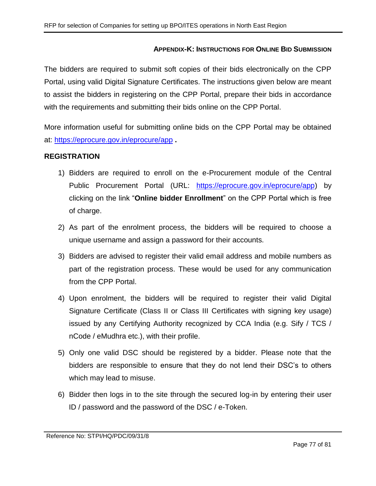### **APPENDIX-K: INSTRUCTIONS FOR ONLINE BID SUBMISSION**

The bidders are required to submit soft copies of their bids electronically on the CPP Portal, using valid Digital Signature Certificates. The instructions given below are meant to assist the bidders in registering on the CPP Portal, prepare their bids in accordance with the requirements and submitting their bids online on the CPP Portal.

More information useful for submitting online bids on the CPP Portal may be obtained at:<https://eprocure.gov.in/eprocure/app> **.**

#### **REGISTRATION**

- 1) Bidders are required to enroll on the e-Procurement module of the Central Public Procurement Portal (URL: [https://eprocure.gov.in/eprocure/app\)](https://eprocure.gov.in/eprocure/app) by clicking on the link "**Online bidder Enrollment**" on the CPP Portal which is free of charge.
- 2) As part of the enrolment process, the bidders will be required to choose a unique username and assign a password for their accounts.
- 3) Bidders are advised to register their valid email address and mobile numbers as part of the registration process. These would be used for any communication from the CPP Portal.
- 4) Upon enrolment, the bidders will be required to register their valid Digital Signature Certificate (Class II or Class III Certificates with signing key usage) issued by any Certifying Authority recognized by CCA India (e.g. Sify / TCS / nCode / eMudhra etc.), with their profile.
- 5) Only one valid DSC should be registered by a bidder. Please note that the bidders are responsible to ensure that they do not lend their DSC's to others which may lead to misuse.
- 6) Bidder then logs in to the site through the secured log-in by entering their user ID / password and the password of the DSC / e-Token.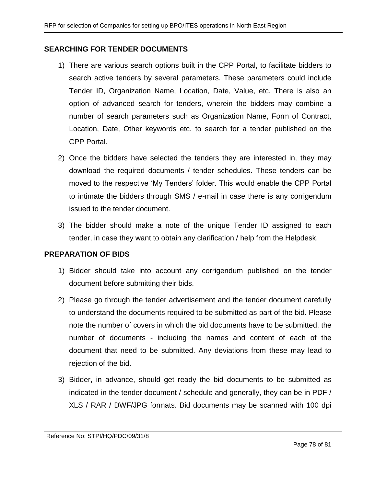### **SEARCHING FOR TENDER DOCUMENTS**

- 1) There are various search options built in the CPP Portal, to facilitate bidders to search active tenders by several parameters. These parameters could include Tender ID, Organization Name, Location, Date, Value, etc. There is also an option of advanced search for tenders, wherein the bidders may combine a number of search parameters such as Organization Name, Form of Contract, Location, Date, Other keywords etc. to search for a tender published on the CPP Portal.
- 2) Once the bidders have selected the tenders they are interested in, they may download the required documents / tender schedules. These tenders can be moved to the respective 'My Tenders' folder. This would enable the CPP Portal to intimate the bidders through SMS / e-mail in case there is any corrigendum issued to the tender document.
- 3) The bidder should make a note of the unique Tender ID assigned to each tender, in case they want to obtain any clarification / help from the Helpdesk.

#### **PREPARATION OF BIDS**

- 1) Bidder should take into account any corrigendum published on the tender document before submitting their bids.
- 2) Please go through the tender advertisement and the tender document carefully to understand the documents required to be submitted as part of the bid. Please note the number of covers in which the bid documents have to be submitted, the number of documents - including the names and content of each of the document that need to be submitted. Any deviations from these may lead to rejection of the bid.
- 3) Bidder, in advance, should get ready the bid documents to be submitted as indicated in the tender document / schedule and generally, they can be in PDF / XLS / RAR / DWF/JPG formats. Bid documents may be scanned with 100 dpi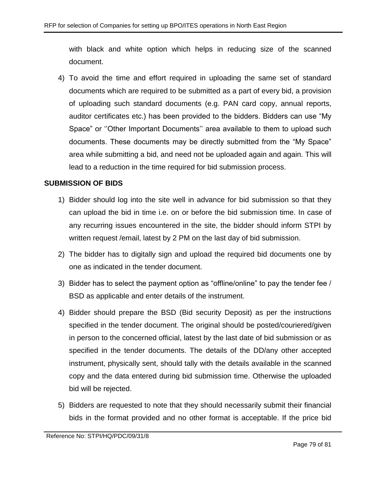with black and white option which helps in reducing size of the scanned document.

4) To avoid the time and effort required in uploading the same set of standard documents which are required to be submitted as a part of every bid, a provision of uploading such standard documents (e.g. PAN card copy, annual reports, auditor certificates etc.) has been provided to the bidders. Bidders can use "My Space" or ''Other Important Documents'' area available to them to upload such documents. These documents may be directly submitted from the "My Space" area while submitting a bid, and need not be uploaded again and again. This will lead to a reduction in the time required for bid submission process.

#### **SUBMISSION OF BIDS**

- 1) Bidder should log into the site well in advance for bid submission so that they can upload the bid in time i.e. on or before the bid submission time. In case of any recurring issues encountered in the site, the bidder should inform STPI by written request /email, latest by 2 PM on the last day of bid submission.
- 2) The bidder has to digitally sign and upload the required bid documents one by one as indicated in the tender document.
- 3) Bidder has to select the payment option as "offline/online" to pay the tender fee / BSD as applicable and enter details of the instrument.
- 4) Bidder should prepare the BSD (Bid security Deposit) as per the instructions specified in the tender document. The original should be posted/couriered/given in person to the concerned official, latest by the last date of bid submission or as specified in the tender documents. The details of the DD/any other accepted instrument, physically sent, should tally with the details available in the scanned copy and the data entered during bid submission time. Otherwise the uploaded bid will be rejected.
- 5) Bidders are requested to note that they should necessarily submit their financial bids in the format provided and no other format is acceptable. If the price bid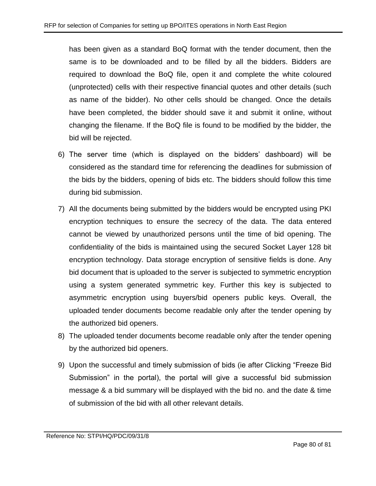has been given as a standard BoQ format with the tender document, then the same is to be downloaded and to be filled by all the bidders. Bidders are required to download the BoQ file, open it and complete the white coloured (unprotected) cells with their respective financial quotes and other details (such as name of the bidder). No other cells should be changed. Once the details have been completed, the bidder should save it and submit it online, without changing the filename. If the BoQ file is found to be modified by the bidder, the bid will be rejected.

- 6) The server time (which is displayed on the bidders' dashboard) will be considered as the standard time for referencing the deadlines for submission of the bids by the bidders, opening of bids etc. The bidders should follow this time during bid submission.
- 7) All the documents being submitted by the bidders would be encrypted using PKI encryption techniques to ensure the secrecy of the data. The data entered cannot be viewed by unauthorized persons until the time of bid opening. The confidentiality of the bids is maintained using the secured Socket Layer 128 bit encryption technology. Data storage encryption of sensitive fields is done. Any bid document that is uploaded to the server is subjected to symmetric encryption using a system generated symmetric key. Further this key is subjected to asymmetric encryption using buyers/bid openers public keys. Overall, the uploaded tender documents become readable only after the tender opening by the authorized bid openers.
- 8) The uploaded tender documents become readable only after the tender opening by the authorized bid openers.
- 9) Upon the successful and timely submission of bids (ie after Clicking "Freeze Bid Submission" in the portal), the portal will give a successful bid submission message & a bid summary will be displayed with the bid no. and the date & time of submission of the bid with all other relevant details.